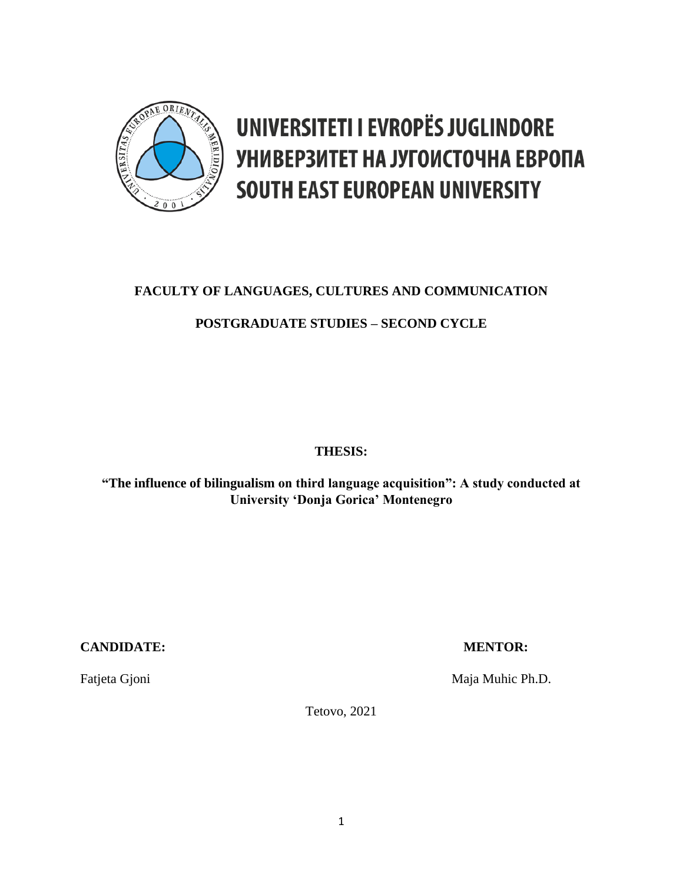

# UNIVERSITETI I EVROPËS JUGLINDORE УНИВЕРЗИТЕТ НА ЈУГОИСТОЧНА ЕВРОПА **SOUTH EAST EUROPEAN UNIVERSITY**

## **FACULTY OF LANGUAGES, CULTURES AND COMMUNICATION**

### **POSTGRADUATE STUDIES – SECOND CYCLE**

### **THESIS:**

### **"The influence of bilingualism on third language acquisition": A study conducted at University 'Donja Gorica' Montenegro**

### **CANDIDATE: MENTOR:**

Fatjeta Gjoni Maja Muhic Ph.D.

Tetovo, 2021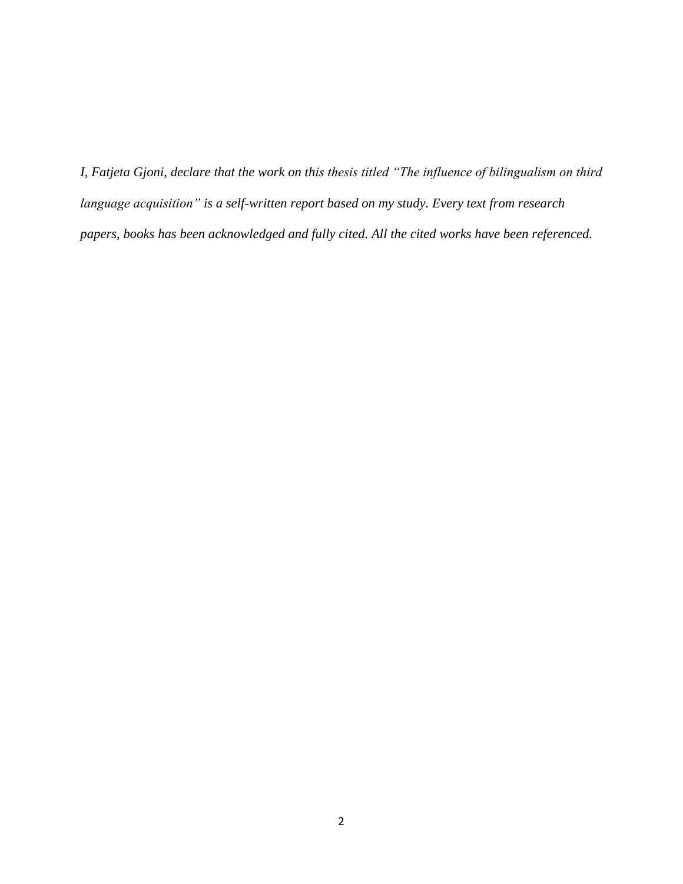*I, Fatjeta Gjoni, declare that the work on this thesis titled "The influence of bilingualism on third language acquisition" is a self-written report based on my study. Every text from research papers, books has been acknowledged and fully cited. All the cited works have been referenced.*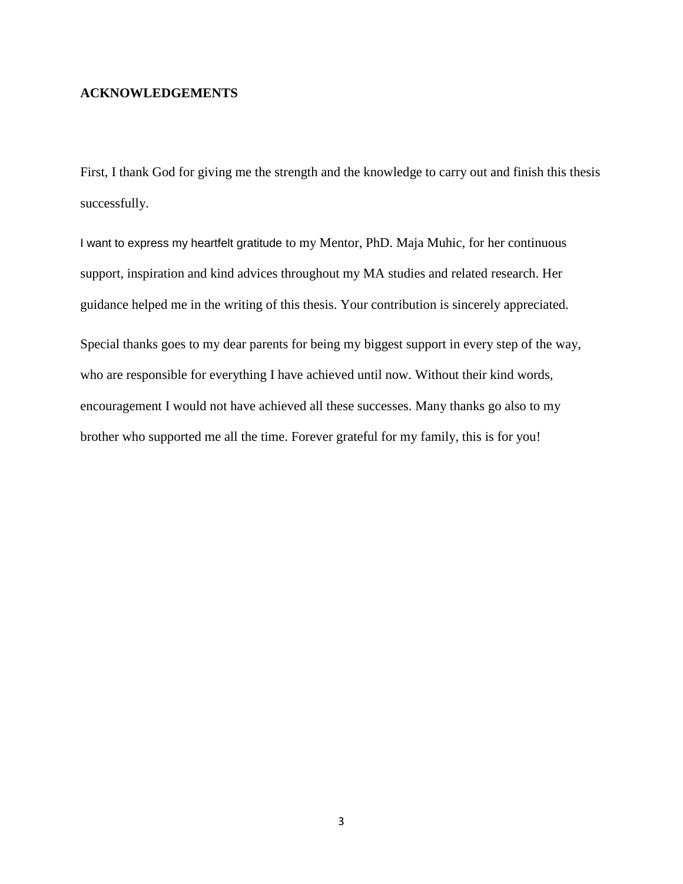#### **ACKNOWLEDGEMENTS**

First, I thank God for giving me the strength and the knowledge to carry out and finish this thesis successfully.

I want to express my heartfelt gratitude to my Mentor, PhD. Maja Muhic, for her continuous support, inspiration and kind advices throughout my MA studies and related research. Her guidance helped me in the writing of this thesis. Your contribution is sincerely appreciated. Special thanks goes to my dear parents for being my biggest support in every step of the way,

who are responsible for everything I have achieved until now. Without their kind words, encouragement I would not have achieved all these successes. Many thanks go also to my brother who supported me all the time. Forever grateful for my family, this is for you!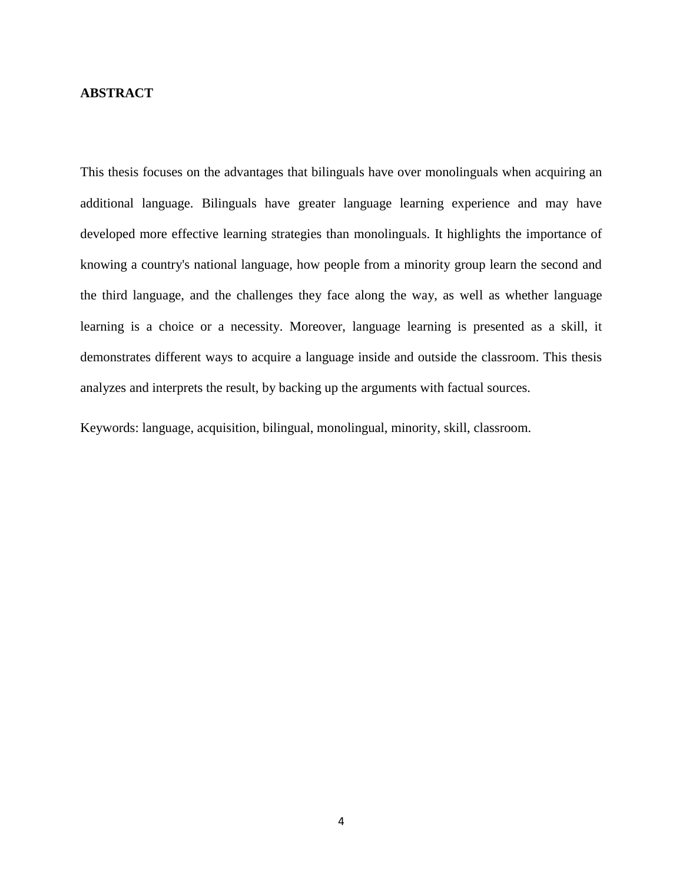#### **ABSTRACT**

This thesis focuses on the advantages that bilinguals have over monolinguals when acquiring an additional language. Bilinguals have greater language learning experience and may have developed more effective learning strategies than monolinguals. It highlights the importance of knowing a country's national language, how people from a minority group learn the second and the third language, and the challenges they face along the way, as well as whether language learning is a choice or a necessity. Moreover, language learning is presented as a skill, it demonstrates different ways to acquire a language inside and outside the classroom. This thesis analyzes and interprets the result, by backing up the arguments with factual sources.

Keywords: language, acquisition, bilingual, monolingual, minority, skill, classroom.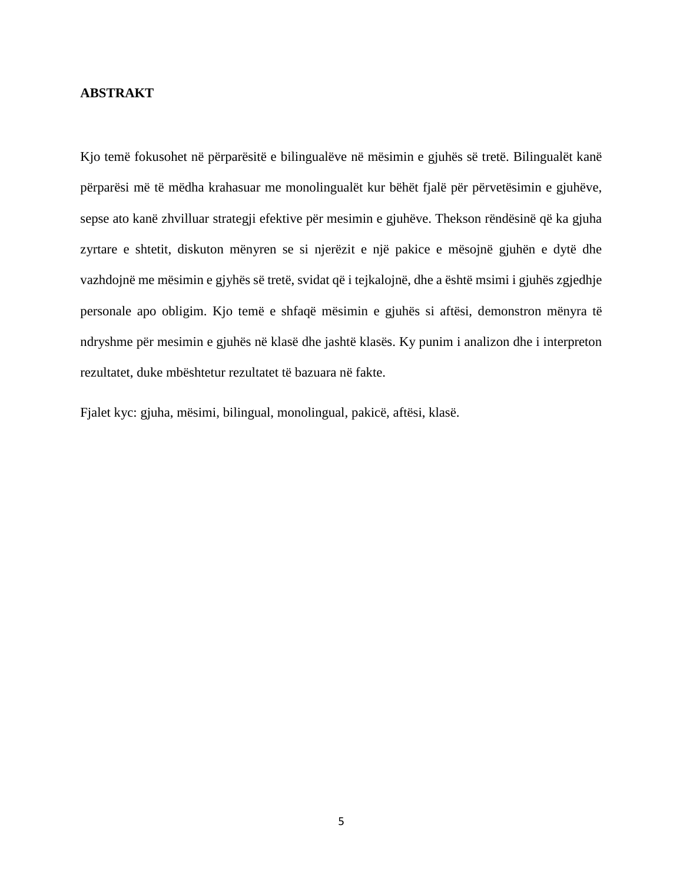#### **ABSTRAKT**

Kjo temë fokusohet në përparësitë e bilingualëve në mësimin e gjuhës së tretë. Bilingualët kanë përparësi më të mëdha krahasuar me monolingualët kur bëhët fjalë për përvetësimin e gjuhëve, sepse ato kanë zhvilluar strategji efektive për mesimin e gjuhëve. Thekson rëndësinë që ka gjuha zyrtare e shtetit, diskuton mënyren se si njerëzit e një pakice e mësojnë gjuhën e dytë dhe vazhdojnë me mësimin e gjyhës së tretë, svidat që i tejkalojnë, dhe a është msimi i gjuhës zgjedhje personale apo obligim. Kjo temë e shfaqë mësimin e gjuhës si aftësi, demonstron mënyra të ndryshme për mesimin e gjuhës në klasë dhe jashtë klasës. Ky punim i analizon dhe i interpreton rezultatet, duke mbështetur rezultatet të bazuara në fakte.

Fjalet kyc: gjuha, mësimi, bilingual, monolingual, pakicë, aftësi, klasë.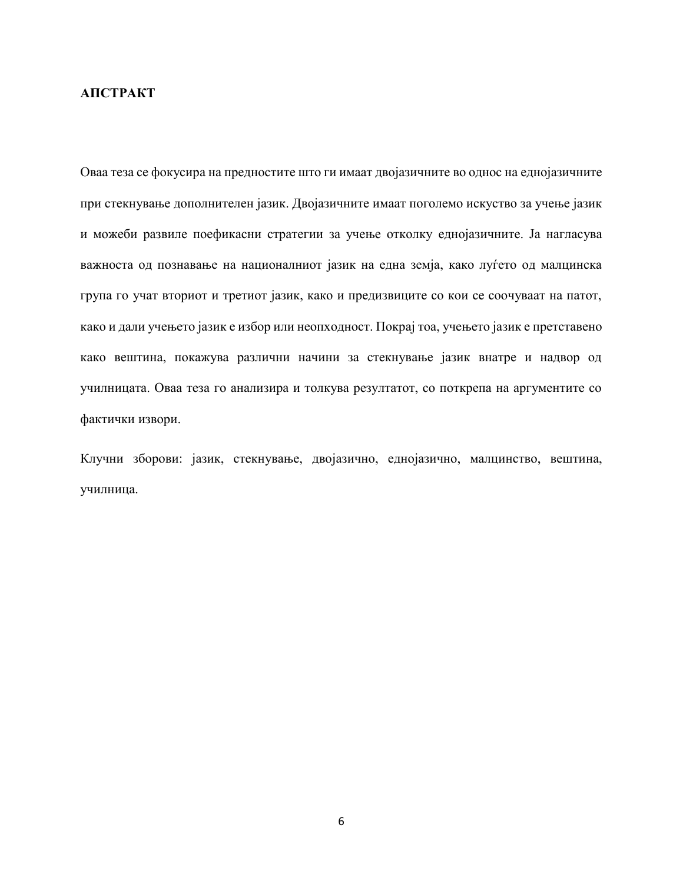#### **АПСТРАКТ**

Оваа теза се фокусира на предностите што ги имаат двојазичните во однос на еднојазичните при стекнување дополнителен јазик. Двојазичните имаат поголемо искуство за учење јазик и можеби развиле поефикасни стратегии за учење отколку еднојазичните. Ја нагласува важноста од познавање на националниот јазик на една земја, како луѓето од малцинска група го учат вториот и третиот јазик, како и предизвиците со кои се соочуваат на патот, како и дали учењето јазик е избор или неопходност. Покрај тоа, учењето јазик е претставено како вештина, покажува различни начини за стекнување јазик внатре и надвор од училницата. Оваа теза го анализира и толкува резултатот, со поткрепа на аргументите со фактички извори.

Клучни зборови: јазик, стекнување, двојазично, еднојазично, малцинство, вештина, училница.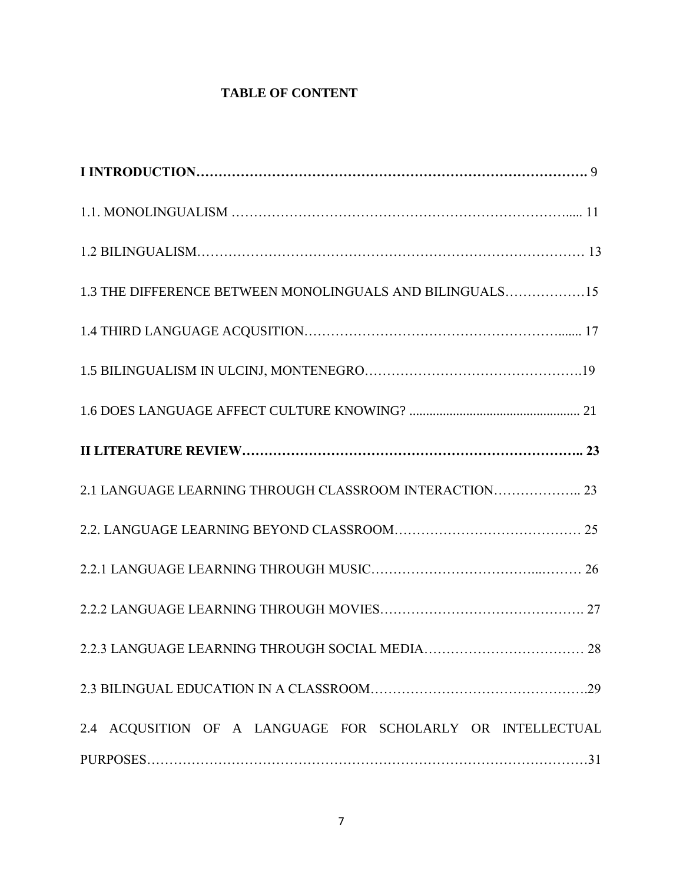### **TABLE OF CONTENT**

| 1.3 THE DIFFERENCE BETWEEN MONOLINGUALS AND BILINGUALS15   |
|------------------------------------------------------------|
|                                                            |
|                                                            |
|                                                            |
|                                                            |
| 2.1 LANGUAGE LEARNING THROUGH CLASSROOM INTERACTION 23     |
|                                                            |
|                                                            |
|                                                            |
|                                                            |
|                                                            |
| 2.4 ACQUSITION OF A LANGUAGE FOR SCHOLARLY OR INTELLECTUAL |
|                                                            |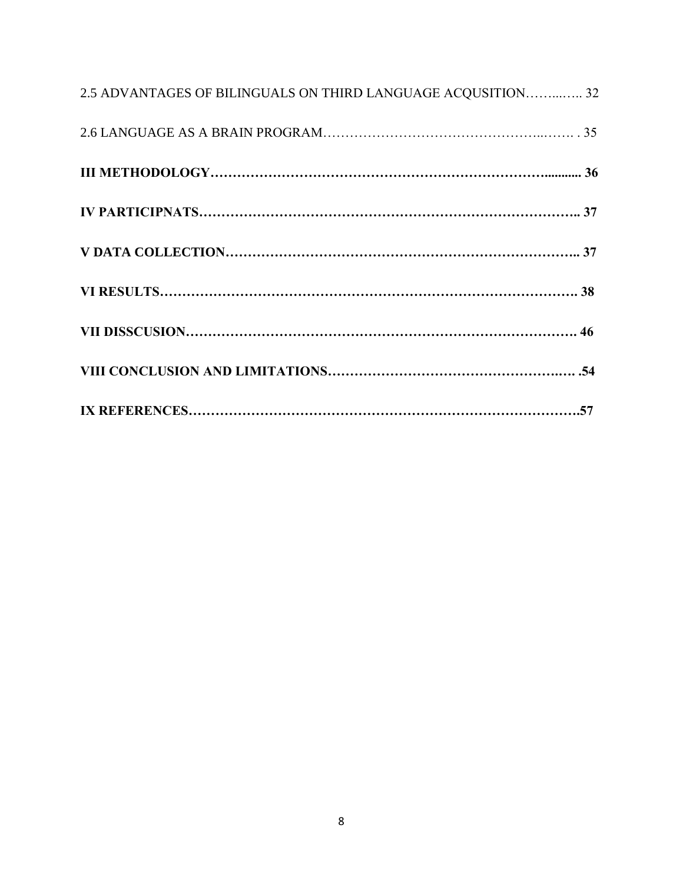| 2.5 ADVANTAGES OF BILINGUALS ON THIRD LANGUAGE ACQUSITION 32 |  |
|--------------------------------------------------------------|--|
|                                                              |  |
|                                                              |  |
|                                                              |  |
|                                                              |  |
|                                                              |  |
|                                                              |  |
|                                                              |  |
|                                                              |  |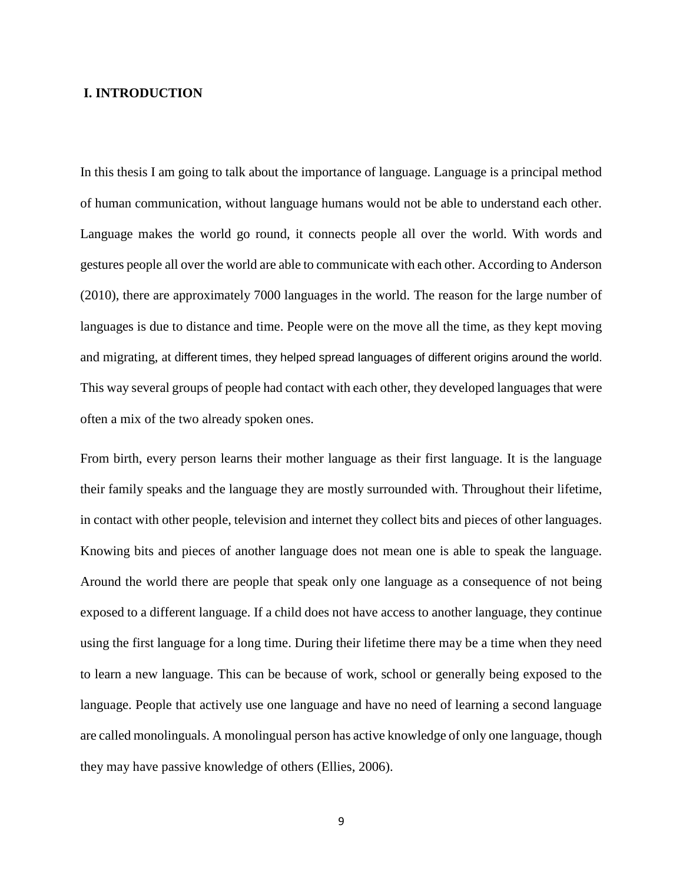#### **I. INTRODUCTION**

In this thesis I am going to talk about the importance of language. Language is a principal method of human communication, without language humans would not be able to understand each other. Language makes the world go round, it connects people all over the world. With words and gestures people all over the world are able to communicate with each other. According to Anderson (2010), there are approximately 7000 languages in the world. The reason for the large number of languages is due to distance and time. People were on the move all the time, as they kept moving and migrating, at different times, they helped spread languages of different origins around the world. This way several groups of people had contact with each other, they developed languages that were often a mix of the two already spoken ones.

From birth, every person learns their mother language as their first language. It is the language their family speaks and the language they are mostly surrounded with. Throughout their lifetime, in contact with other people, television and internet they collect bits and pieces of other languages. Knowing bits and pieces of another language does not mean one is able to speak the language. Around the world there are people that speak only one language as a consequence of not being exposed to a different language. If a child does not have access to another language, they continue using the first language for a long time. During their lifetime there may be a time when they need to learn a new language. This can be because of work, school or generally being exposed to the language. People that actively use one language and have no need of learning a second language are called monolinguals. A monolingual person has active knowledge of only one language, though they may have passive knowledge of others (Ellies, 2006).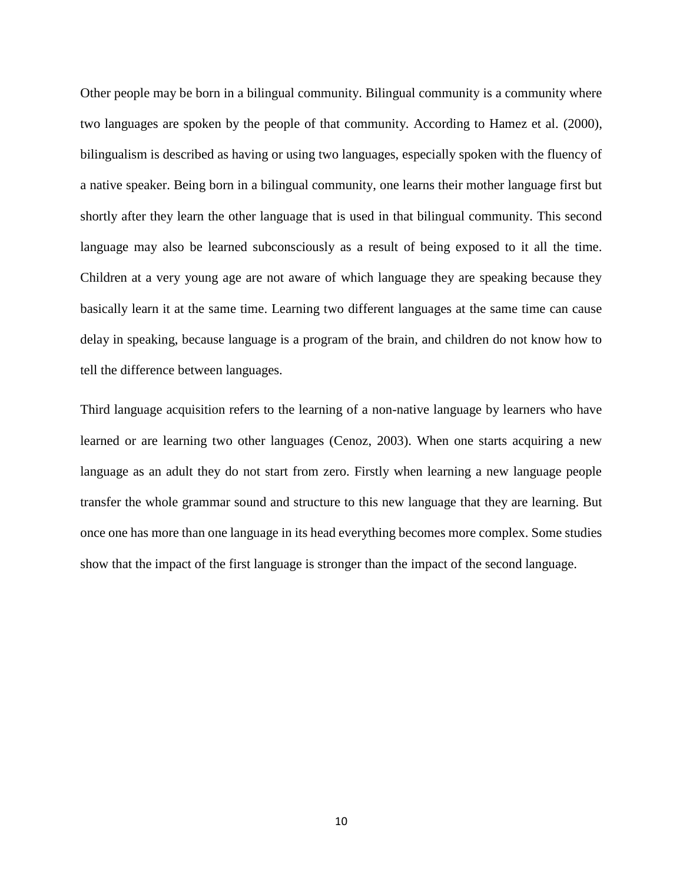Other people may be born in a bilingual community. Bilingual community is a community where two languages are spoken by the people of that community. According to Hamez et al. (2000), bilingualism is described as having or using two languages, especially spoken with the fluency of a native speaker. Being born in a bilingual community, one learns their mother language first but shortly after they learn the other language that is used in that bilingual community. This second language may also be learned subconsciously as a result of being exposed to it all the time. Children at a very young age are not aware of which language they are speaking because they basically learn it at the same time. Learning two different languages at the same time can cause delay in speaking, because language is a program of the brain, and children do not know how to tell the difference between languages.

Third language acquisition refers to the learning of a non-native language by learners who have learned or are learning two other languages (Cenoz, 2003). When one starts acquiring a new language as an adult they do not start from zero. Firstly when learning a new language people transfer the whole grammar sound and structure to this new language that they are learning. But once one has more than one language in its head everything becomes more complex. Some studies show that the impact of the first language is stronger than the impact of the second language.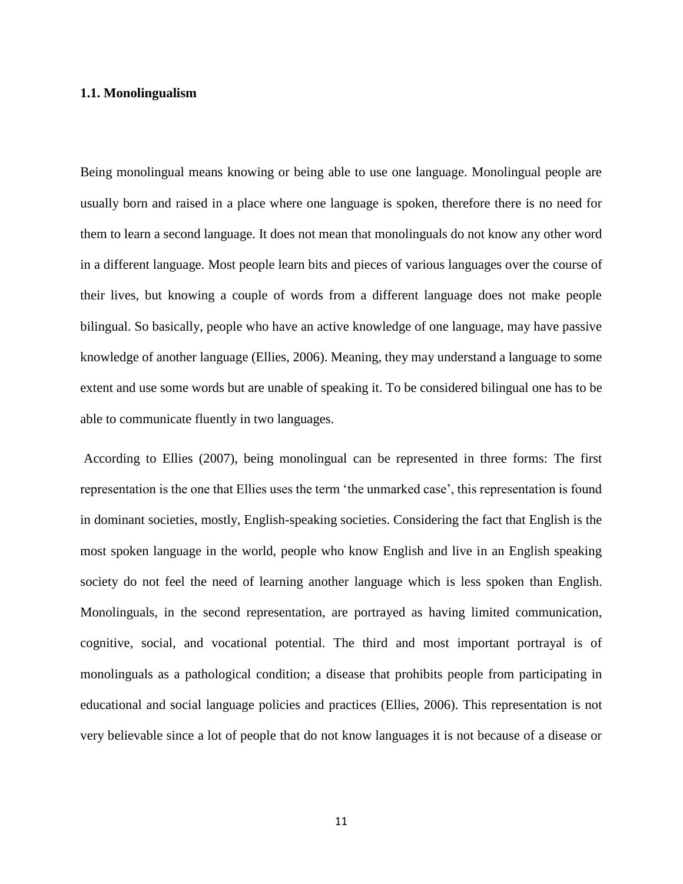#### **1.1. Monolingualism**

Being monolingual means knowing or being able to use one language. Monolingual people are usually born and raised in a place where one language is spoken, therefore there is no need for them to learn a second language. It does not mean that monolinguals do not know any other word in a different language. Most people learn bits and pieces of various languages over the course of their lives, but knowing a couple of words from a different language does not make people bilingual. So basically, people who have an active knowledge of one language, may have passive knowledge of another language (Ellies, 2006). Meaning, they may understand a language to some extent and use some words but are unable of speaking it. To be considered bilingual one has to be able to communicate fluently in two languages.

According to Ellies (2007), being monolingual can be represented in three forms: The first representation is the one that Ellies uses the term 'the unmarked case', this representation is found in dominant societies, mostly, English-speaking societies. Considering the fact that English is the most spoken language in the world, people who know English and live in an English speaking society do not feel the need of learning another language which is less spoken than English. Monolinguals, in the second representation, are portrayed as having limited communication, cognitive, social, and vocational potential. The third and most important portrayal is of monolinguals as a pathological condition; a disease that prohibits people from participating in educational and social language policies and practices (Ellies, 2006). This representation is not very believable since a lot of people that do not know languages it is not because of a disease or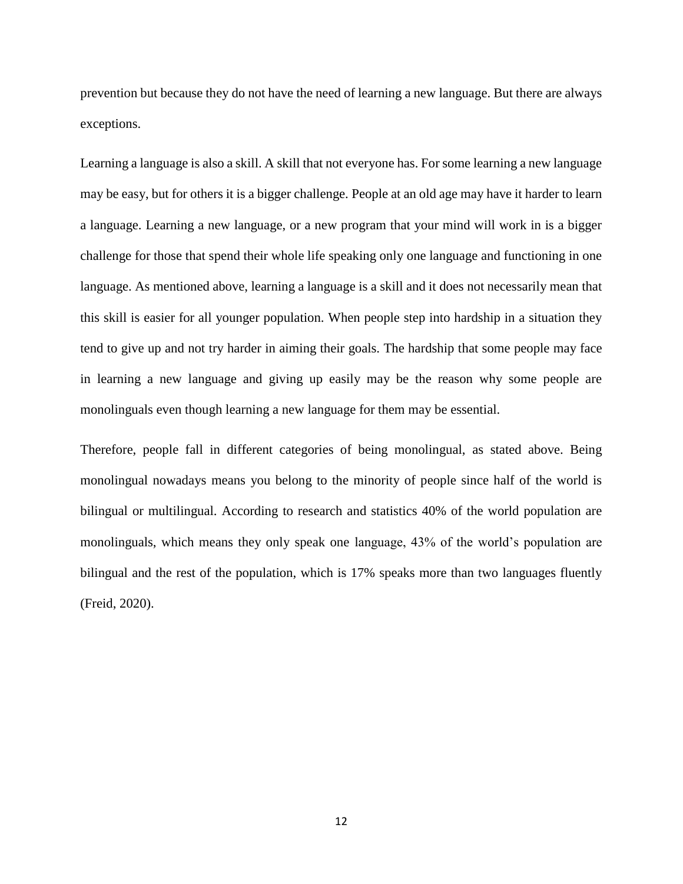prevention but because they do not have the need of learning a new language. But there are always exceptions.

Learning a language is also a skill. A skill that not everyone has. For some learning a new language may be easy, but for others it is a bigger challenge. People at an old age may have it harder to learn a language. Learning a new language, or a new program that your mind will work in is a bigger challenge for those that spend their whole life speaking only one language and functioning in one language. As mentioned above, learning a language is a skill and it does not necessarily mean that this skill is easier for all younger population. When people step into hardship in a situation they tend to give up and not try harder in aiming their goals. The hardship that some people may face in learning a new language and giving up easily may be the reason why some people are monolinguals even though learning a new language for them may be essential.

Therefore, people fall in different categories of being monolingual, as stated above. Being monolingual nowadays means you belong to the minority of people since half of the world is bilingual or multilingual. According to research and statistics 40% of the world population are monolinguals, which means they only speak one language, 43% of the world's population are bilingual and the rest of the population, which is 17% speaks more than two languages fluently (Freid, 2020).

12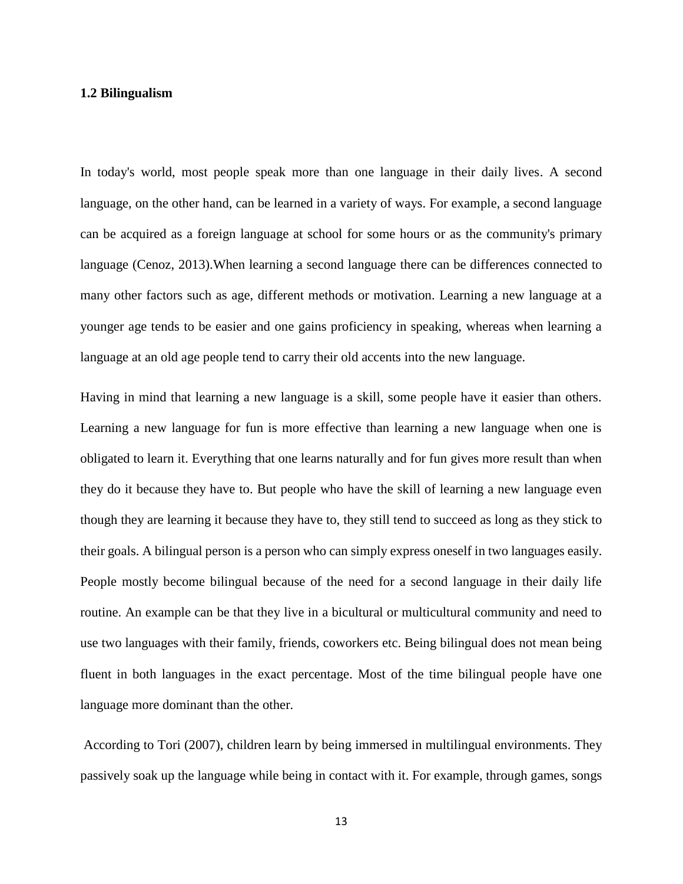#### **1.2 Bilingualism**

In today's world, most people speak more than one language in their daily lives. A second language, on the other hand, can be learned in a variety of ways. For example, a second language can be acquired as a foreign language at school for some hours or as the community's primary language (Cenoz, 2013).When learning a second language there can be differences connected to many other factors such as age, different methods or motivation. Learning a new language at a younger age tends to be easier and one gains proficiency in speaking, whereas when learning a language at an old age people tend to carry their old accents into the new language.

Having in mind that learning a new language is a skill, some people have it easier than others. Learning a new language for fun is more effective than learning a new language when one is obligated to learn it. Everything that one learns naturally and for fun gives more result than when they do it because they have to. But people who have the skill of learning a new language even though they are learning it because they have to, they still tend to succeed as long as they stick to their goals. A bilingual person is a person who can simply express oneself in two languages easily. People mostly become bilingual because of the need for a second language in their daily life routine. An example can be that they live in a bicultural or multicultural community and need to use two languages with their family, friends, coworkers etc. Being bilingual does not mean being fluent in both languages in the exact percentage. Most of the time bilingual people have one language more dominant than the other.

According to Tori (2007), children learn by being immersed in multilingual environments. They passively soak up the language while being in contact with it. For example, through games, songs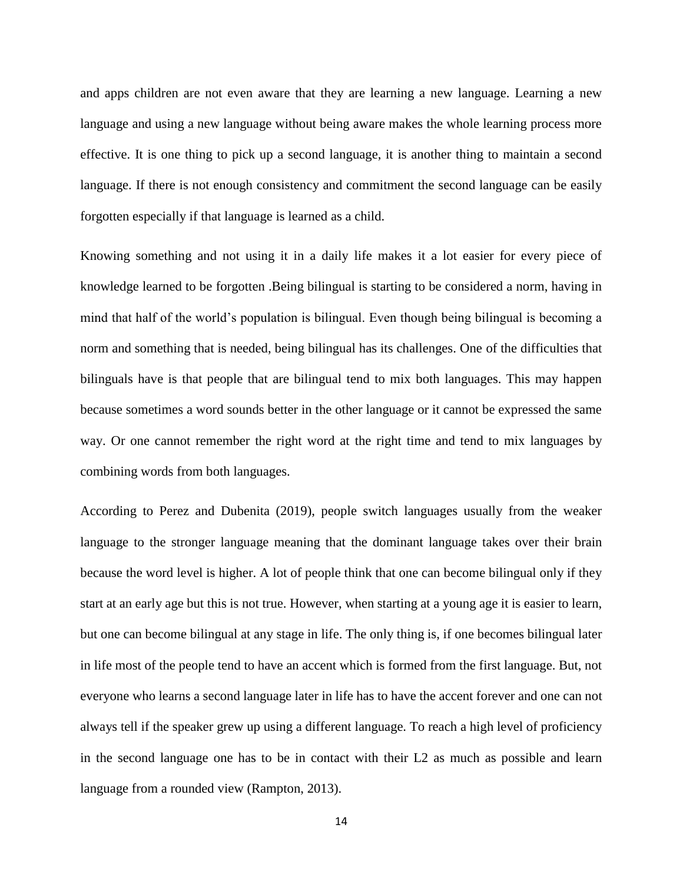and apps children are not even aware that they are learning a new language. Learning a new language and using a new language without being aware makes the whole learning process more effective. It is one thing to pick up a second language, it is another thing to maintain a second language. If there is not enough consistency and commitment the second language can be easily forgotten especially if that language is learned as a child.

Knowing something and not using it in a daily life makes it a lot easier for every piece of knowledge learned to be forgotten .Being bilingual is starting to be considered a norm, having in mind that half of the world's population is bilingual. Even though being bilingual is becoming a norm and something that is needed, being bilingual has its challenges. One of the difficulties that bilinguals have is that people that are bilingual tend to mix both languages. This may happen because sometimes a word sounds better in the other language or it cannot be expressed the same way. Or one cannot remember the right word at the right time and tend to mix languages by combining words from both languages.

According to Perez and Dubenita (2019), people switch languages usually from the weaker language to the stronger language meaning that the dominant language takes over their brain because the word level is higher. A lot of people think that one can become bilingual only if they start at an early age but this is not true. However, when starting at a young age it is easier to learn, but one can become bilingual at any stage in life. The only thing is, if one becomes bilingual later in life most of the people tend to have an accent which is formed from the first language. But, not everyone who learns a second language later in life has to have the accent forever and one can not always tell if the speaker grew up using a different language. To reach a high level of proficiency in the second language one has to be in contact with their L2 as much as possible and learn language from a rounded view (Rampton, 2013).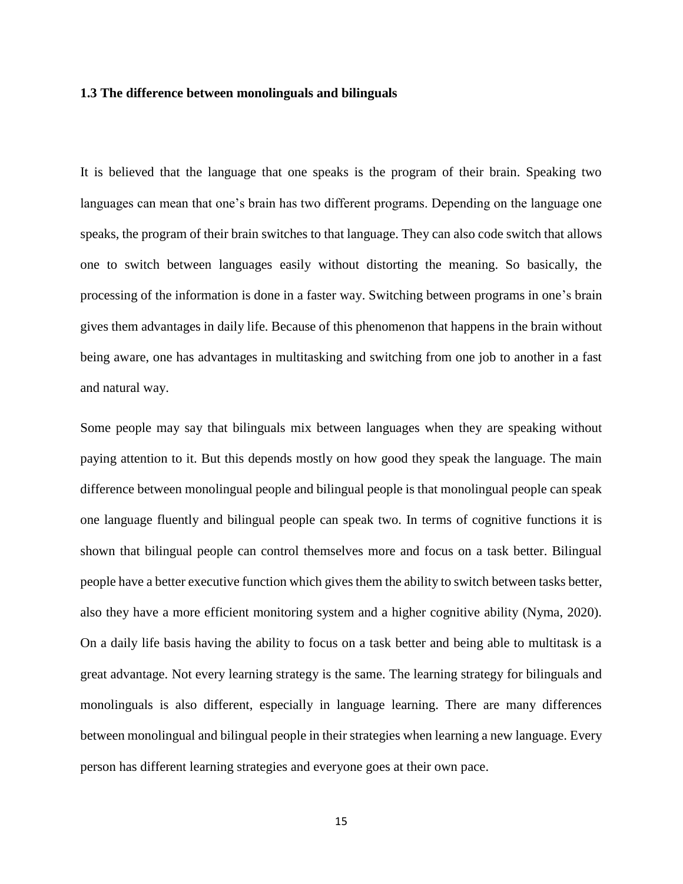#### **1.3 The difference between monolinguals and bilinguals**

It is believed that the language that one speaks is the program of their brain. Speaking two languages can mean that one's brain has two different programs. Depending on the language one speaks, the program of their brain switches to that language. They can also code switch that allows one to switch between languages easily without distorting the meaning. So basically, the processing of the information is done in a faster way. Switching between programs in one's brain gives them advantages in daily life. Because of this phenomenon that happens in the brain without being aware, one has advantages in multitasking and switching from one job to another in a fast and natural way.

Some people may say that bilinguals mix between languages when they are speaking without paying attention to it. But this depends mostly on how good they speak the language. The main difference between monolingual people and bilingual people is that monolingual people can speak one language fluently and bilingual people can speak two. In terms of cognitive functions it is shown that bilingual people can control themselves more and focus on a task better. Bilingual people have a better executive function which gives them the ability to switch between tasks better, also they have a more efficient monitoring system and a higher cognitive ability (Nyma, 2020). On a daily life basis having the ability to focus on a task better and being able to multitask is a great advantage. Not every learning strategy is the same. The learning strategy for bilinguals and monolinguals is also different, especially in language learning. There are many differences between monolingual and bilingual people in their strategies when learning a new language. Every person has different learning strategies and everyone goes at their own pace.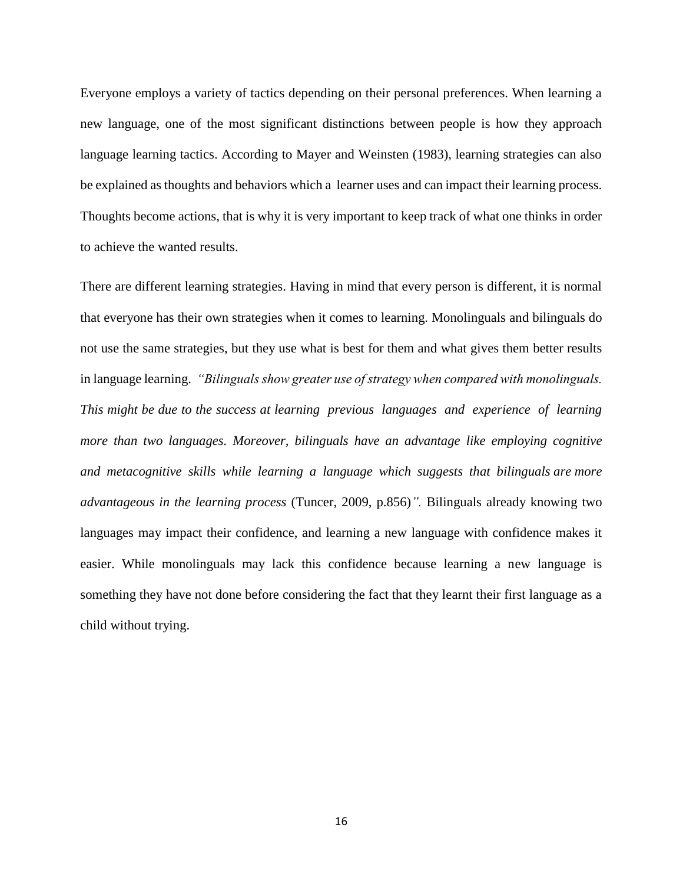Everyone employs a variety of tactics depending on their personal preferences. When learning a new language, one of the most significant distinctions between people is how they approach language learning tactics. According to Mayer and Weinsten (1983), learning strategies can also be explained as thoughts and behaviors which a learner uses and can impact their learning process. Thoughts become actions, that is why it is very important to keep track of what one thinks in order to achieve the wanted results.

There are different learning strategies. Having in mind that every person is different, it is normal that everyone has their own strategies when it comes to learning. Monolinguals and bilinguals do not use the same strategies, but they use what is best for them and what gives them better results in language learning. *"Bilinguals show greater use of strategy when compared with monolinguals. This might be due to the success at learning previous languages and experience of learning more than two languages. Moreover, bilinguals have an advantage like employing cognitive and metacognitive skills while learning a language which suggests that bilinguals are more advantageous in the learning process* (Tuncer, 2009, p.856)*".* Bilinguals already knowing two languages may impact their confidence, and learning a new language with confidence makes it easier. While monolinguals may lack this confidence because learning a new language is something they have not done before considering the fact that they learnt their first language as a child without trying.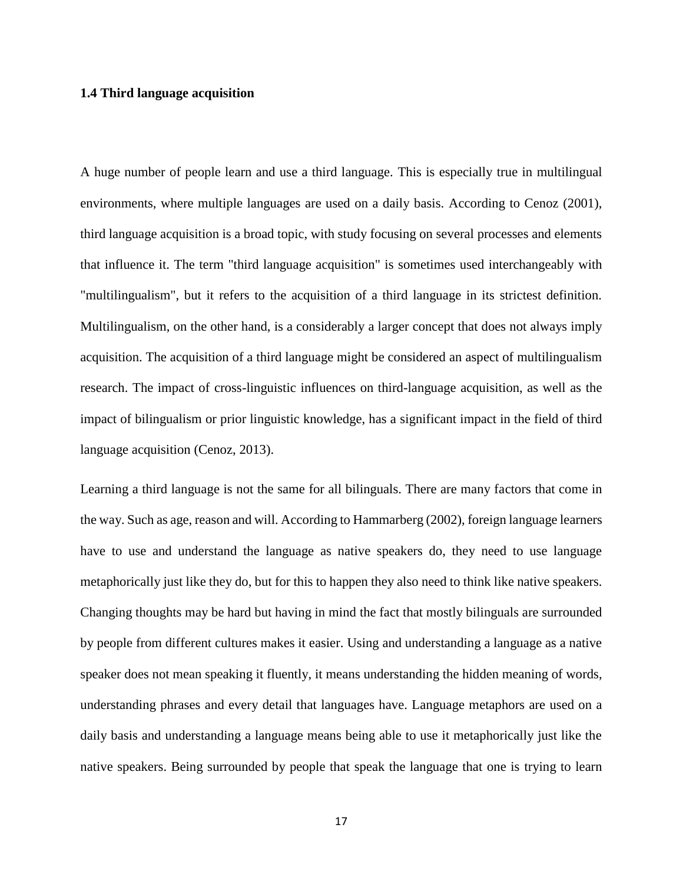#### **1.4 Third language acquisition**

A huge number of people learn and use a third language. This is especially true in multilingual environments, where multiple languages are used on a daily basis. According to Cenoz (2001), third language acquisition is a broad topic, with study focusing on several processes and elements that influence it. The term "third language acquisition" is sometimes used interchangeably with "multilingualism", but it refers to the acquisition of a third language in its strictest definition. Multilingualism, on the other hand, is a considerably a larger concept that does not always imply acquisition. The acquisition of a third language might be considered an aspect of multilingualism research. The impact of cross-linguistic influences on third-language acquisition, as well as the impact of bilingualism or prior linguistic knowledge, has a significant impact in the field of third language acquisition (Cenoz, 2013).

Learning a third language is not the same for all bilinguals. There are many factors that come in the way. Such as age, reason and will. According to Hammarberg (2002), foreign language learners have to use and understand the language as native speakers do, they need to use language metaphorically just like they do, but for this to happen they also need to think like native speakers. Changing thoughts may be hard but having in mind the fact that mostly bilinguals are surrounded by people from different cultures makes it easier. Using and understanding a language as a native speaker does not mean speaking it fluently, it means understanding the hidden meaning of words, understanding phrases and every detail that languages have. Language metaphors are used on a daily basis and understanding a language means being able to use it metaphorically just like the native speakers. Being surrounded by people that speak the language that one is trying to learn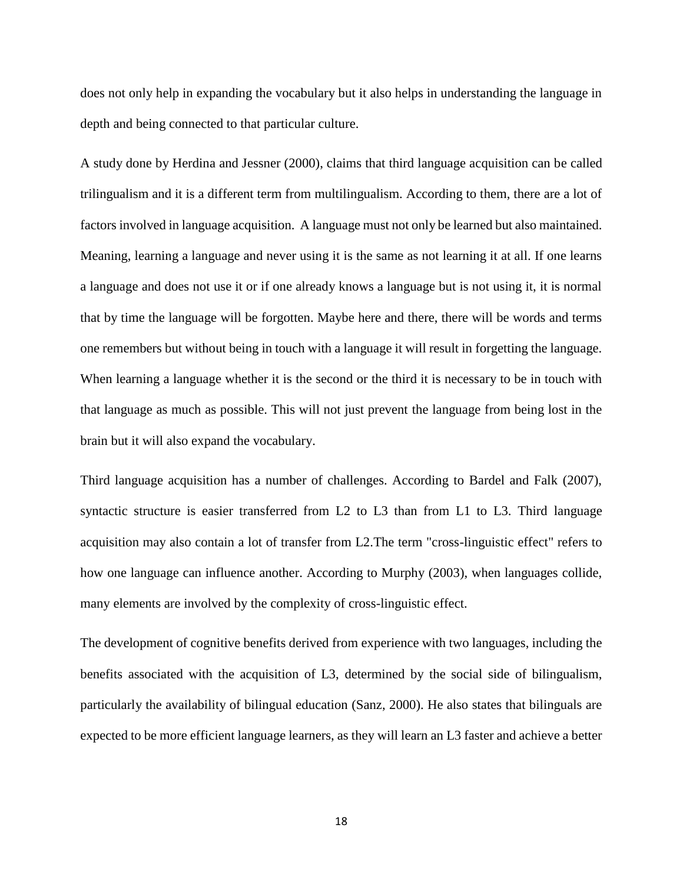does not only help in expanding the vocabulary but it also helps in understanding the language in depth and being connected to that particular culture.

A study done by Herdina and Jessner (2000), claims that third language acquisition can be called trilingualism and it is a different term from multilingualism. According to them, there are a lot of factors involved in language acquisition. A language must not only be learned but also maintained. Meaning, learning a language and never using it is the same as not learning it at all. If one learns a language and does not use it or if one already knows a language but is not using it, it is normal that by time the language will be forgotten. Maybe here and there, there will be words and terms one remembers but without being in touch with a language it will result in forgetting the language. When learning a language whether it is the second or the third it is necessary to be in touch with that language as much as possible. This will not just prevent the language from being lost in the brain but it will also expand the vocabulary.

Third language acquisition has a number of challenges. According to Bardel and Falk (2007), syntactic structure is easier transferred from L2 to L3 than from L1 to L3. Third language acquisition may also contain a lot of transfer from L2.The term "cross-linguistic effect" refers to how one language can influence another. According to Murphy (2003), when languages collide, many elements are involved by the complexity of cross-linguistic effect.

The development of cognitive benefits derived from experience with two languages, including the benefits associated with the acquisition of L3, determined by the social side of bilingualism, particularly the availability of bilingual education (Sanz, 2000). He also states that bilinguals are expected to be more efficient language learners, as they will learn an L3 faster and achieve a better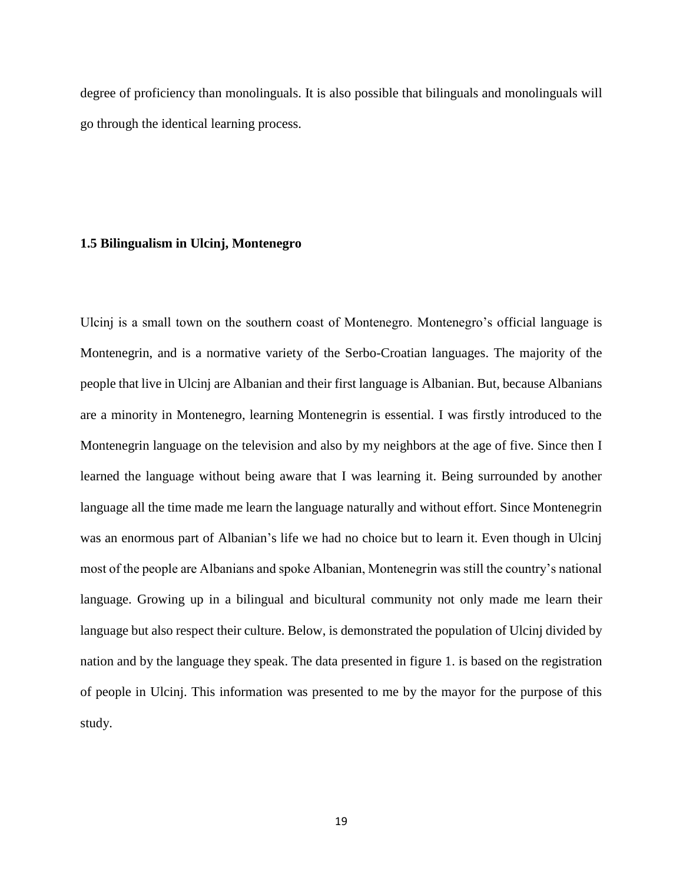degree of proficiency than monolinguals. It is also possible that bilinguals and monolinguals will go through the identical learning process.

#### **1.5 Bilingualism in Ulcinj, Montenegro**

Ulcinj is a small town on the southern coast of Montenegro. Montenegro's official language is Montenegrin, and is a normative variety of the Serbo-Croatian languages. The majority of the people that live in Ulcinj are Albanian and their first language is Albanian. But, because Albanians are a minority in Montenegro, learning Montenegrin is essential. I was firstly introduced to the Montenegrin language on the television and also by my neighbors at the age of five. Since then I learned the language without being aware that I was learning it. Being surrounded by another language all the time made me learn the language naturally and without effort. Since Montenegrin was an enormous part of Albanian's life we had no choice but to learn it. Even though in Ulcinj most of the people are Albanians and spoke Albanian, Montenegrin was still the country's national language. Growing up in a bilingual and bicultural community not only made me learn their language but also respect their culture. Below, is demonstrated the population of Ulcinj divided by nation and by the language they speak. The data presented in figure 1. is based on the registration of people in Ulcinj. This information was presented to me by the mayor for the purpose of this study.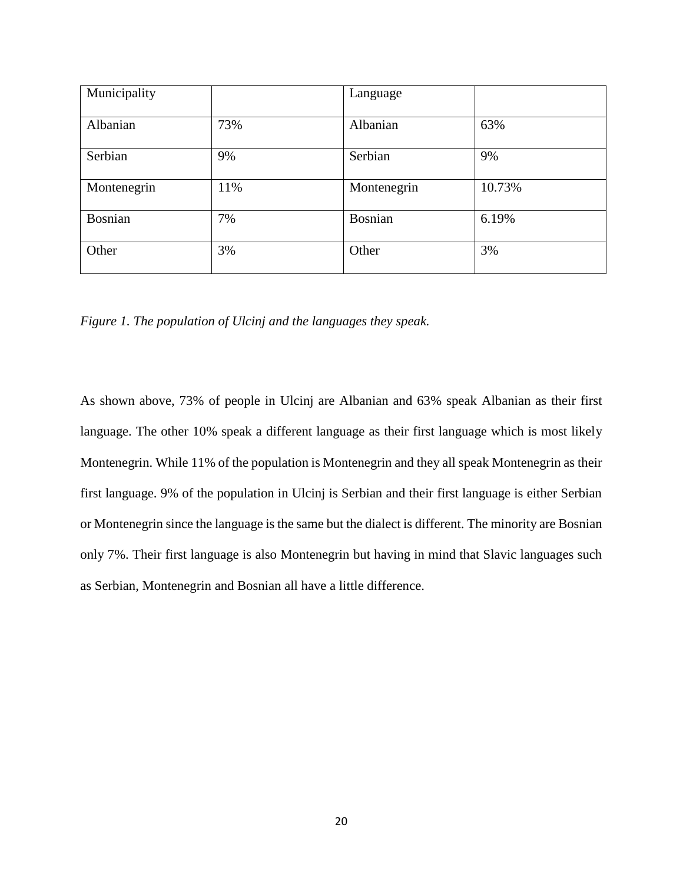| Municipality   |     | Language       |        |
|----------------|-----|----------------|--------|
| Albanian       | 73% | Albanian       | 63%    |
| Serbian        | 9%  | Serbian        | 9%     |
| Montenegrin    | 11% | Montenegrin    | 10.73% |
| <b>Bosnian</b> | 7%  | <b>Bosnian</b> | 6.19%  |
| Other          | 3%  | Other          | 3%     |

*Figure 1. The population of Ulcinj and the languages they speak.*

As shown above, 73% of people in Ulcinj are Albanian and 63% speak Albanian as their first language. The other 10% speak a different language as their first language which is most likely Montenegrin. While 11% of the population is Montenegrin and they all speak Montenegrin as their first language. 9% of the population in Ulcinj is Serbian and their first language is either Serbian or Montenegrin since the language is the same but the dialect is different. The minority are Bosnian only 7%. Their first language is also Montenegrin but having in mind that Slavic languages such as Serbian, Montenegrin and Bosnian all have a little difference.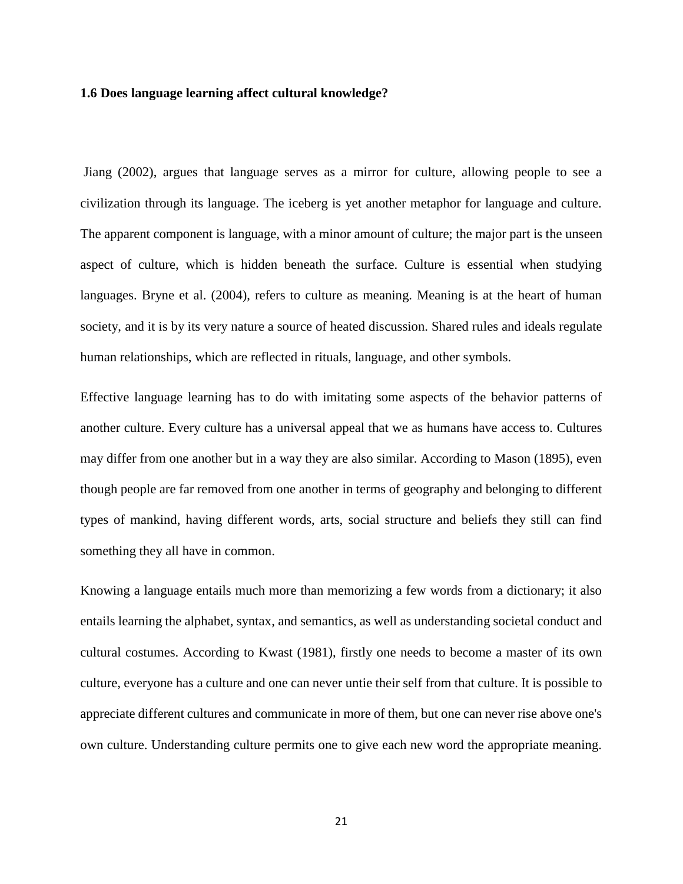#### **1.6 Does language learning affect cultural knowledge?**

Jiang (2002), argues that language serves as a mirror for culture, allowing people to see a civilization through its language. The iceberg is yet another metaphor for language and culture. The apparent component is language, with a minor amount of culture; the major part is the unseen aspect of culture, which is hidden beneath the surface. Culture is essential when studying languages. Bryne et al. (2004), refers to culture as meaning. Meaning is at the heart of human society, and it is by its very nature a source of heated discussion. Shared rules and ideals regulate human relationships, which are reflected in rituals, language, and other symbols.

Effective language learning has to do with imitating some aspects of the behavior patterns of another culture. Every culture has a universal appeal that we as humans have access to. Cultures may differ from one another but in a way they are also similar. According to Mason (1895), even though people are far removed from one another in terms of geography and belonging to different types of mankind, having different words, arts, social structure and beliefs they still can find something they all have in common.

Knowing a language entails much more than memorizing a few words from a dictionary; it also entails learning the alphabet, syntax, and semantics, as well as understanding societal conduct and cultural costumes. According to Kwast (1981), firstly one needs to become a master of its own culture, everyone has a culture and one can never untie their self from that culture. It is possible to appreciate different cultures and communicate in more of them, but one can never rise above one's own culture. Understanding culture permits one to give each new word the appropriate meaning.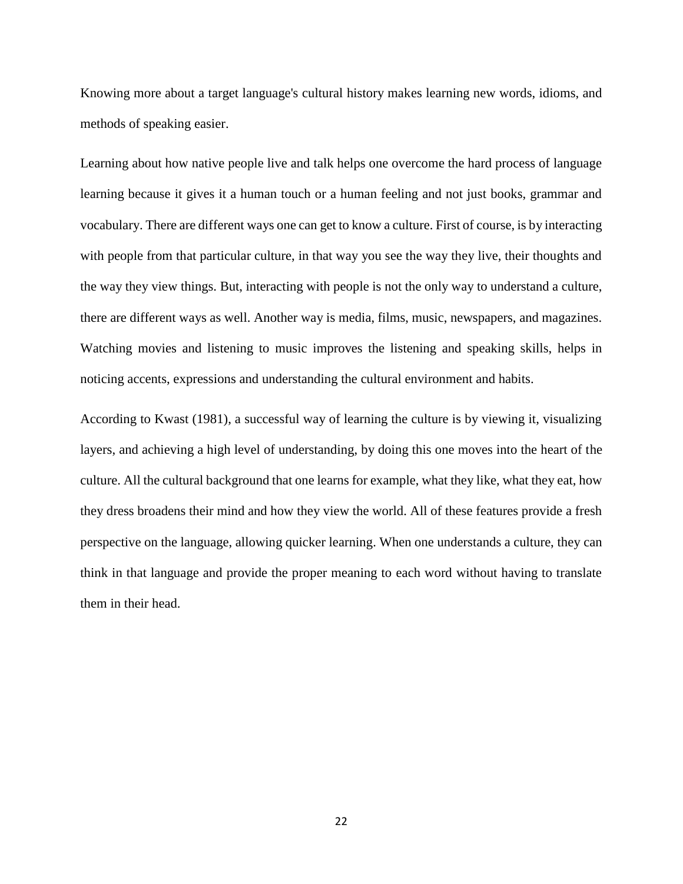Knowing more about a target language's cultural history makes learning new words, idioms, and methods of speaking easier.

Learning about how native people live and talk helps one overcome the hard process of language learning because it gives it a human touch or a human feeling and not just books, grammar and vocabulary. There are different ways one can get to know a culture. First of course, is by interacting with people from that particular culture, in that way you see the way they live, their thoughts and the way they view things. But, interacting with people is not the only way to understand a culture, there are different ways as well. Another way is media, films, music, newspapers, and magazines. Watching movies and listening to music improves the listening and speaking skills, helps in noticing accents, expressions and understanding the cultural environment and habits.

According to Kwast (1981), a successful way of learning the culture is by viewing it, visualizing layers, and achieving a high level of understanding, by doing this one moves into the heart of the culture. All the cultural background that one learns for example, what they like, what they eat, how they dress broadens their mind and how they view the world. All of these features provide a fresh perspective on the language, allowing quicker learning. When one understands a culture, they can think in that language and provide the proper meaning to each word without having to translate them in their head.

22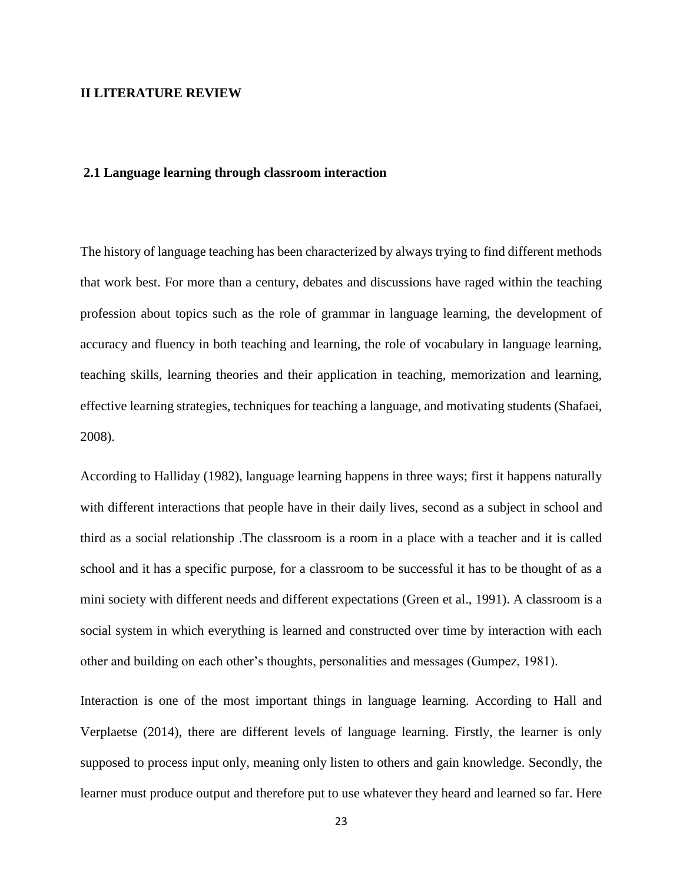#### **II LITERATURE REVIEW**

#### **2.1 Language learning through classroom interaction**

The history of language teaching has been characterized by always trying to find different methods that work best. For more than a century, debates and discussions have raged within the teaching profession about topics such as the role of grammar in language learning, the development of accuracy and fluency in both teaching and learning, the role of vocabulary in language learning, teaching skills, learning theories and their application in teaching, memorization and learning, effective learning strategies, techniques for teaching a language, and motivating students (Shafaei, 2008).

According to Halliday (1982), language learning happens in three ways; first it happens naturally with different interactions that people have in their daily lives, second as a subject in school and third as a social relationship .The classroom is a room in a place with a teacher and it is called school and it has a specific purpose, for a classroom to be successful it has to be thought of as a mini society with different needs and different expectations (Green et al., 1991). A classroom is a social system in which everything is learned and constructed over time by interaction with each other and building on each other's thoughts, personalities and messages (Gumpez, 1981).

Interaction is one of the most important things in language learning. According to Hall and Verplaetse (2014), there are different levels of language learning. Firstly, the learner is only supposed to process input only, meaning only listen to others and gain knowledge. Secondly, the learner must produce output and therefore put to use whatever they heard and learned so far. Here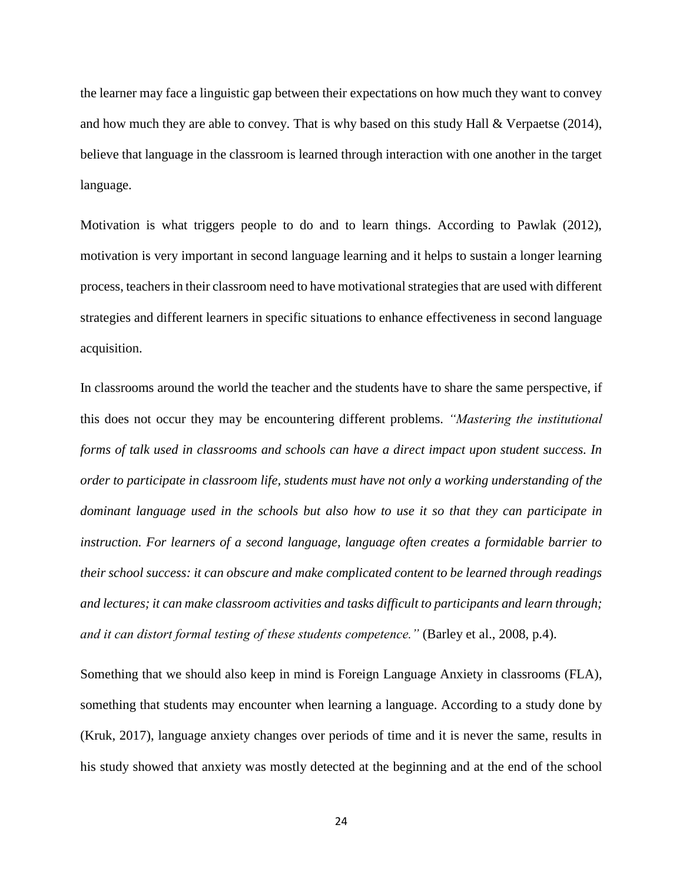the learner may face a linguistic gap between their expectations on how much they want to convey and how much they are able to convey. That is why based on this study Hall  $&$  Verpaetse (2014), believe that language in the classroom is learned through interaction with one another in the target language.

Motivation is what triggers people to do and to learn things. According to Pawlak (2012), motivation is very important in second language learning and it helps to sustain a longer learning process, teachers in their classroom need to have motivational strategies that are used with different strategies and different learners in specific situations to enhance effectiveness in second language acquisition.

In classrooms around the world the teacher and the students have to share the same perspective, if this does not occur they may be encountering different problems. *"Mastering the institutional forms of talk used in classrooms and schools can have a direct impact upon student success. In order to participate in classroom life, students must have not only a working understanding of the dominant language used in the schools but also how to use it so that they can participate in instruction. For learners of a second language, language often creates a formidable barrier to their school success: it can obscure and make complicated content to be learned through readings and lectures; it can make classroom activities and tasks difficult to participants and learn through; and it can distort formal testing of these students competence."* (Barley et al., 2008, p.4).

Something that we should also keep in mind is Foreign Language Anxiety in classrooms (FLA), something that students may encounter when learning a language. According to a study done by (Kruk, 2017), language anxiety changes over periods of time and it is never the same, results in his study showed that anxiety was mostly detected at the beginning and at the end of the school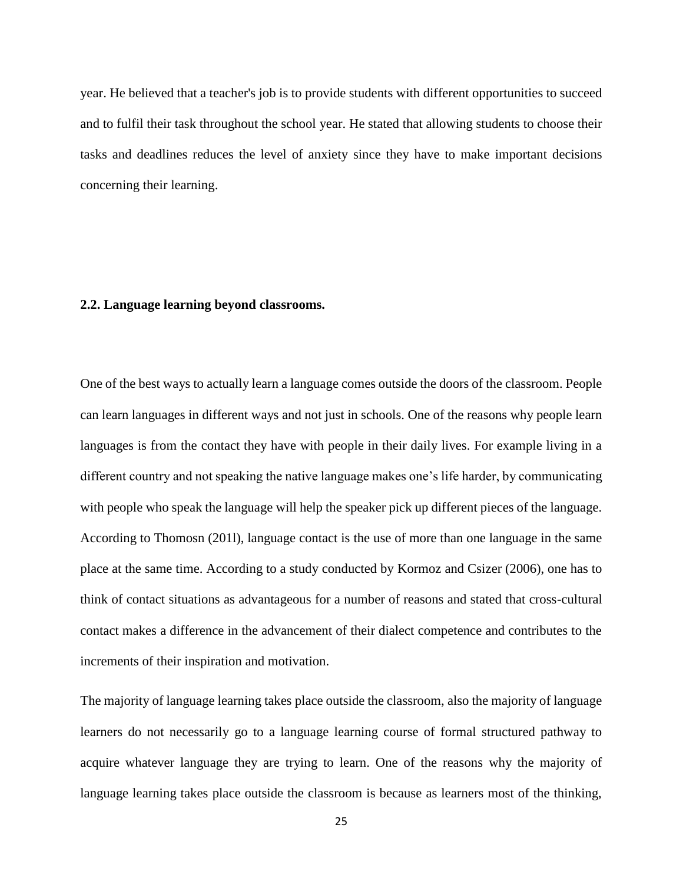year. He believed that a teacher's job is to provide students with different opportunities to succeed and to fulfil their task throughout the school year. He stated that allowing students to choose their tasks and deadlines reduces the level of anxiety since they have to make important decisions concerning their learning.

#### **2.2. Language learning beyond classrooms.**

One of the best ways to actually learn a language comes outside the doors of the classroom. People can learn languages in different ways and not just in schools. One of the reasons why people learn languages is from the contact they have with people in their daily lives. For example living in a different country and not speaking the native language makes one's life harder, by communicating with people who speak the language will help the speaker pick up different pieces of the language. According to Thomosn (201l), language contact is the use of more than one language in the same place at the same time. According to a study conducted by Kormoz and Csizer (2006), one has to think of contact situations as advantageous for a number of reasons and stated that cross-cultural contact makes a difference in the advancement of their dialect competence and contributes to the increments of their inspiration and motivation.

The majority of language learning takes place outside the classroom, also the majority of language learners do not necessarily go to a language learning course of formal structured pathway to acquire whatever language they are trying to learn. One of the reasons why the majority of language learning takes place outside the classroom is because as learners most of the thinking,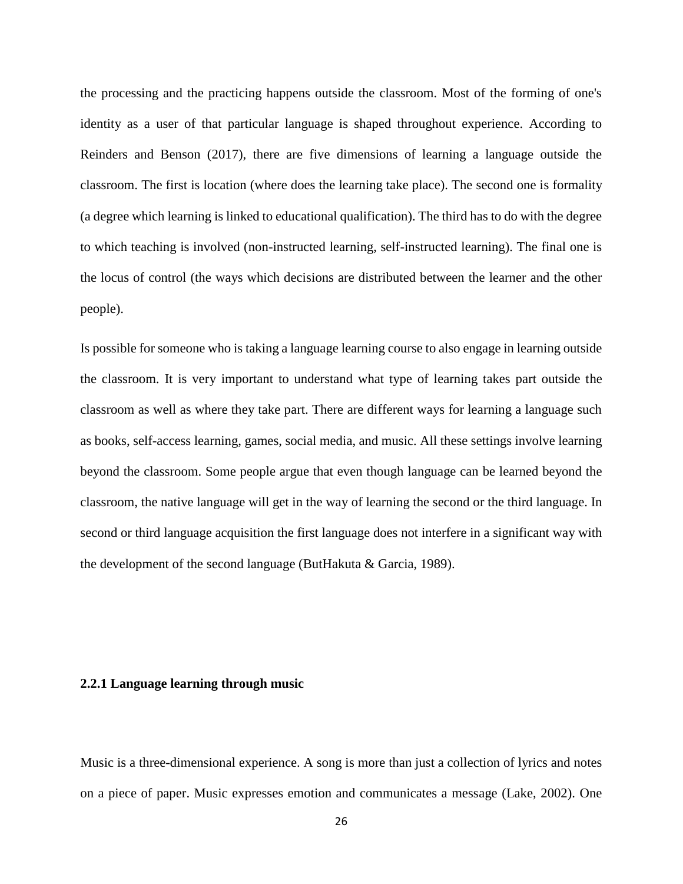the processing and the practicing happens outside the classroom. Most of the forming of one's identity as a user of that particular language is shaped throughout experience. According to Reinders and Benson (2017), there are five dimensions of learning a language outside the classroom. The first is location (where does the learning take place). The second one is formality (a degree which learning is linked to educational qualification). The third has to do with the degree to which teaching is involved (non-instructed learning, self-instructed learning). The final one is the locus of control (the ways which decisions are distributed between the learner and the other people).

Is possible for someone who is taking a language learning course to also engage in learning outside the classroom. It is very important to understand what type of learning takes part outside the classroom as well as where they take part. There are different ways for learning a language such as books, self-access learning, games, social media, and music. All these settings involve learning beyond the classroom. Some people argue that even though language can be learned beyond the classroom, the native language will get in the way of learning the second or the third language. In second or third language acquisition the first language does not interfere in a significant way with the development of the second language (ButHakuta & Garcia, 1989).

#### **2.2.1 Language learning through music**

Music is a three-dimensional experience. A song is more than just a collection of lyrics and notes on a piece of paper. Music expresses emotion and communicates a message (Lake, 2002). One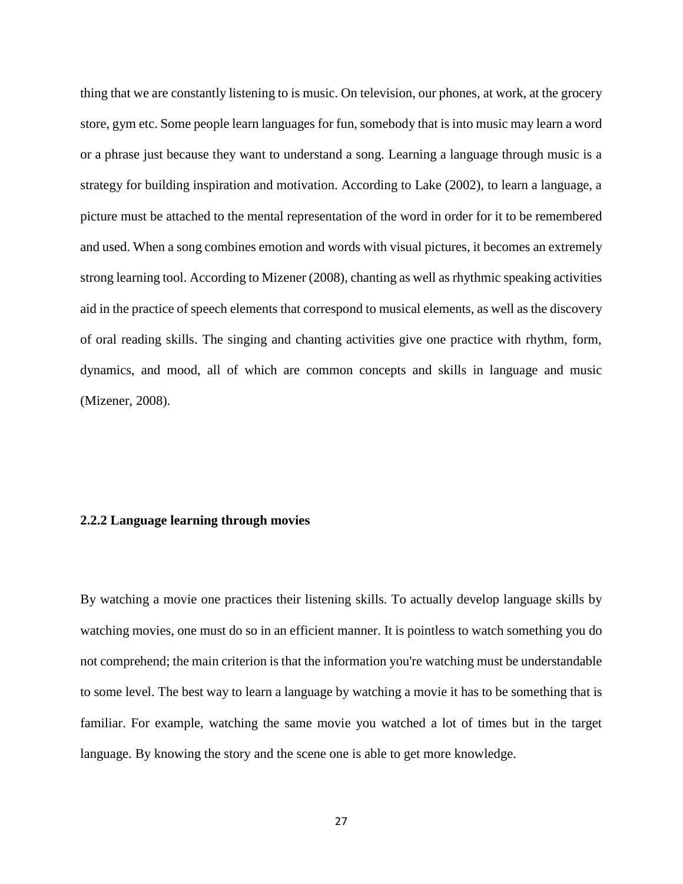thing that we are constantly listening to is music. On television, our phones, at work, at the grocery store, gym etc. Some people learn languages for fun, somebody that is into music may learn a word or a phrase just because they want to understand a song. Learning a language through music is a strategy for building inspiration and motivation. According to Lake (2002), to learn a language, a picture must be attached to the mental representation of the word in order for it to be remembered and used. When a song combines emotion and words with visual pictures, it becomes an extremely strong learning tool. According to Mizener (2008), chanting as well as rhythmic speaking activities aid in the practice of speech elements that correspond to musical elements, as well as the discovery of oral reading skills. The singing and chanting activities give one practice with rhythm, form, dynamics, and mood, all of which are common concepts and skills in language and music (Mizener, 2008).

#### **2.2.2 Language learning through movies**

By watching a movie one practices their listening skills. To actually develop language skills by watching movies, one must do so in an efficient manner. It is pointless to watch something you do not comprehend; the main criterion is that the information you're watching must be understandable to some level. The best way to learn a language by watching a movie it has to be something that is familiar. For example, watching the same movie you watched a lot of times but in the target language. By knowing the story and the scene one is able to get more knowledge.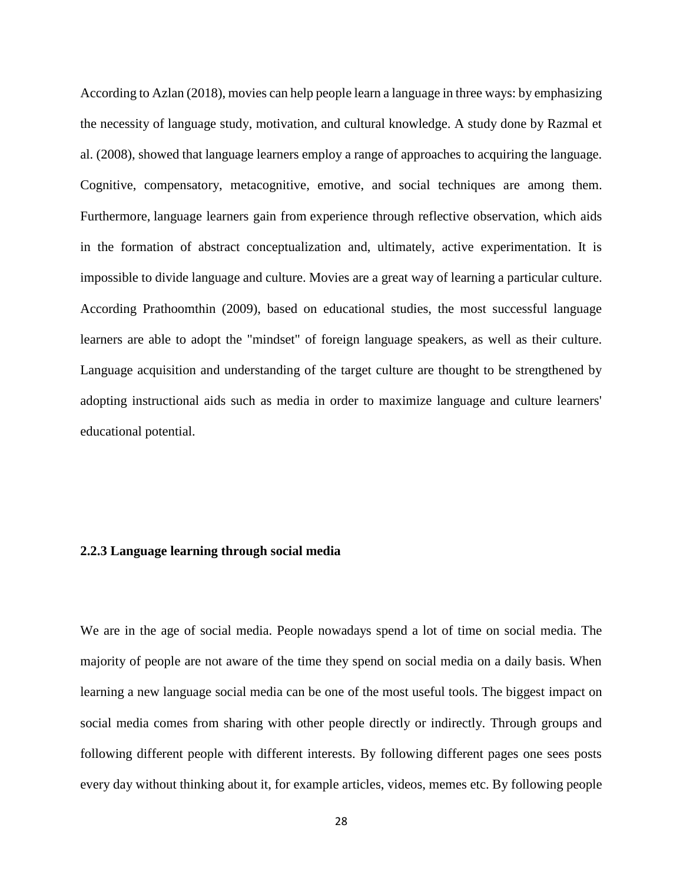According to Azlan (2018), movies can help people learn a language in three ways: by emphasizing the necessity of language study, motivation, and cultural knowledge. A study done by Razmal et al. (2008), showed that language learners employ a range of approaches to acquiring the language. Cognitive, compensatory, metacognitive, emotive, and social techniques are among them. Furthermore, language learners gain from experience through reflective observation, which aids in the formation of abstract conceptualization and, ultimately, active experimentation. It is impossible to divide language and culture. Movies are a great way of learning a particular culture. According Prathoomthin (2009), based on educational studies, the most successful language learners are able to adopt the "mindset" of foreign language speakers, as well as their culture. Language acquisition and understanding of the target culture are thought to be strengthened by adopting instructional aids such as media in order to maximize language and culture learners' educational potential.

#### **2.2.3 Language learning through social media**

We are in the age of social media. People nowadays spend a lot of time on social media. The majority of people are not aware of the time they spend on social media on a daily basis. When learning a new language social media can be one of the most useful tools. The biggest impact on social media comes from sharing with other people directly or indirectly. Through groups and following different people with different interests. By following different pages one sees posts every day without thinking about it, for example articles, videos, memes etc. By following people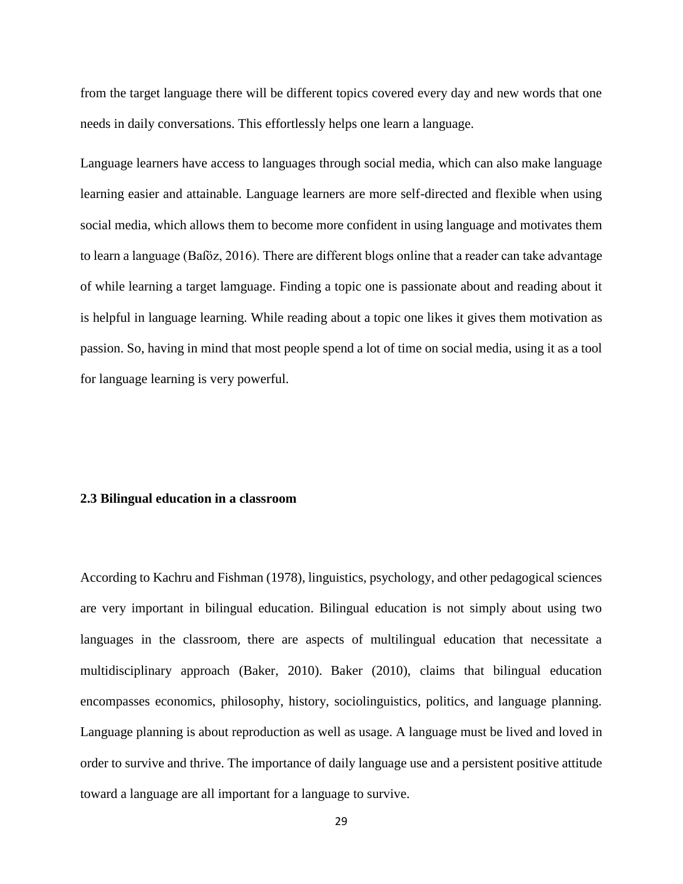from the target language there will be different topics covered every day and new words that one needs in daily conversations. This effortlessly helps one learn a language.

Language learners have access to languages through social media, which can also make language learning easier and attainable. Language learners are more self-directed and flexible when using social media, which allows them to become more confident in using language and motivates them to learn a language (Baſöz, 2016). There are different blogs online that a reader can take advantage of while learning a target lamguage. Finding a topic one is passionate about and reading about it is helpful in language learning. While reading about a topic one likes it gives them motivation as passion. So, having in mind that most people spend a lot of time on social media, using it as a tool for language learning is very powerful.

#### **2.3 Bilingual education in a classroom**

According to Kachru and Fishman (1978), linguistics, psychology, and other pedagogical sciences are very important in bilingual education. Bilingual education is not simply about using two languages in the classroom, there are aspects of multilingual education that necessitate a multidisciplinary approach (Baker, 2010). Baker (2010), claims that bilingual education encompasses economics, philosophy, history, sociolinguistics, politics, and language planning. Language planning is about reproduction as well as usage. A language must be lived and loved in order to survive and thrive. The importance of daily language use and a persistent positive attitude toward a language are all important for a language to survive.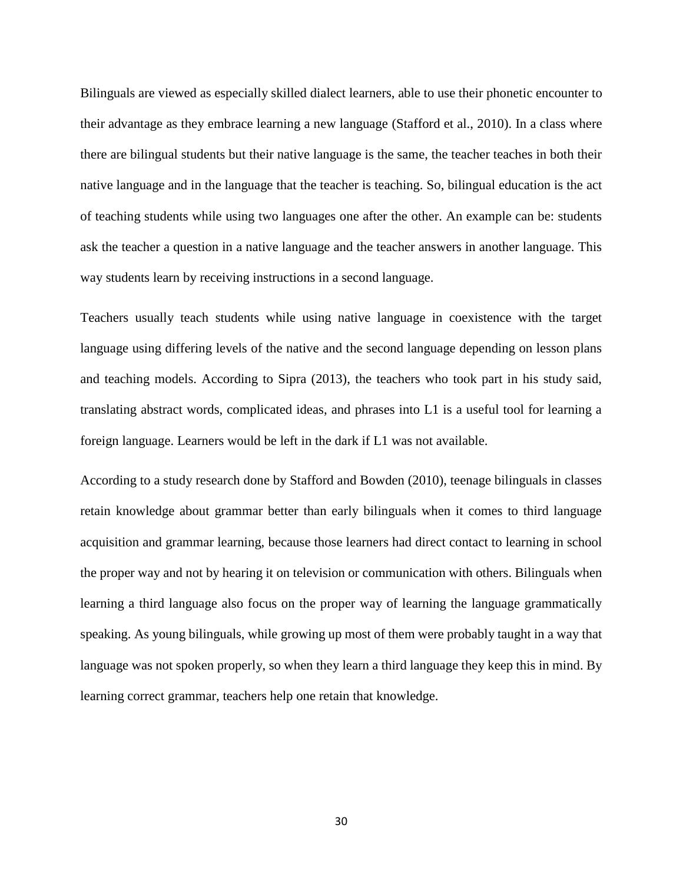Bilinguals are viewed as especially skilled dialect learners, able to use their phonetic encounter to their advantage as they embrace learning a new language (Stafford et al., 2010). In a class where there are bilingual students but their native language is the same, the teacher teaches in both their native language and in the language that the teacher is teaching. So, bilingual education is the act of teaching students while using two languages one after the other. An example can be: students ask the teacher a question in a native language and the teacher answers in another language. This way students learn by receiving instructions in a second language.

Teachers usually teach students while using native language in coexistence with the target language using differing levels of the native and the second language depending on lesson plans and teaching models. According to Sipra (2013), the teachers who took part in his study said, translating abstract words, complicated ideas, and phrases into L1 is a useful tool for learning a foreign language. Learners would be left in the dark if L1 was not available.

According to a study research done by Stafford and Bowden (2010), teenage bilinguals in classes retain knowledge about grammar better than early bilinguals when it comes to third language acquisition and grammar learning, because those learners had direct contact to learning in school the proper way and not by hearing it on television or communication with others. Bilinguals when learning a third language also focus on the proper way of learning the language grammatically speaking. As young bilinguals, while growing up most of them were probably taught in a way that language was not spoken properly, so when they learn a third language they keep this in mind. By learning correct grammar, teachers help one retain that knowledge.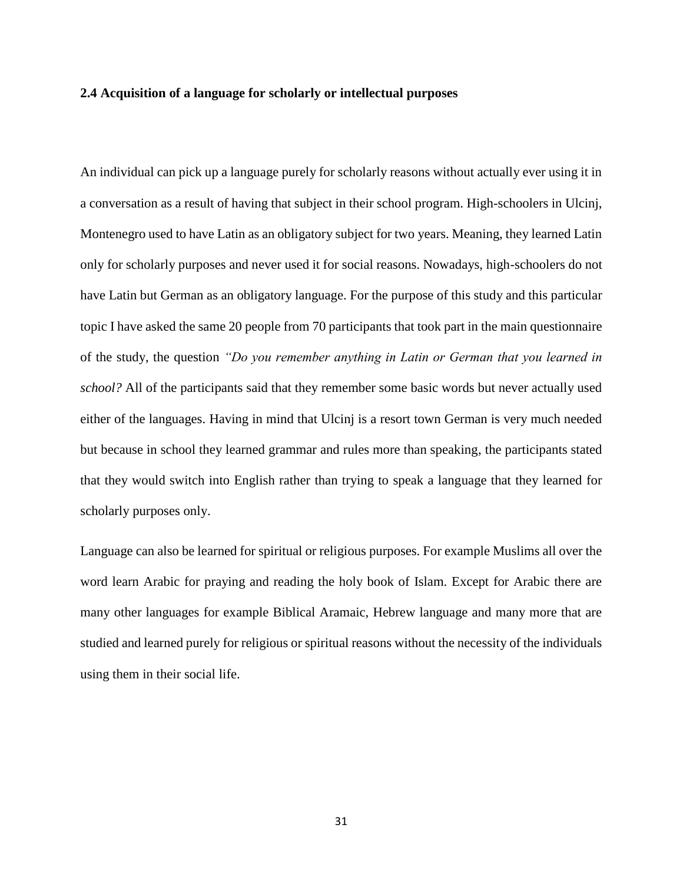#### **2.4 Acquisition of a language for scholarly or intellectual purposes**

An individual can pick up a language purely for scholarly reasons without actually ever using it in a conversation as a result of having that subject in their school program. High-schoolers in Ulcinj, Montenegro used to have Latin as an obligatory subject for two years. Meaning, they learned Latin only for scholarly purposes and never used it for social reasons. Nowadays, high-schoolers do not have Latin but German as an obligatory language. For the purpose of this study and this particular topic I have asked the same 20 people from 70 participants that took part in the main questionnaire of the study, the question *"Do you remember anything in Latin or German that you learned in school?* All of the participants said that they remember some basic words but never actually used either of the languages. Having in mind that Ulcinj is a resort town German is very much needed but because in school they learned grammar and rules more than speaking, the participants stated that they would switch into English rather than trying to speak a language that they learned for scholarly purposes only.

Language can also be learned for spiritual or religious purposes. For example Muslims all over the word learn Arabic for praying and reading the holy book of Islam. Except for Arabic there are many other languages for example Biblical Aramaic, Hebrew language and many more that are studied and learned purely for religious or spiritual reasons without the necessity of the individuals using them in their social life.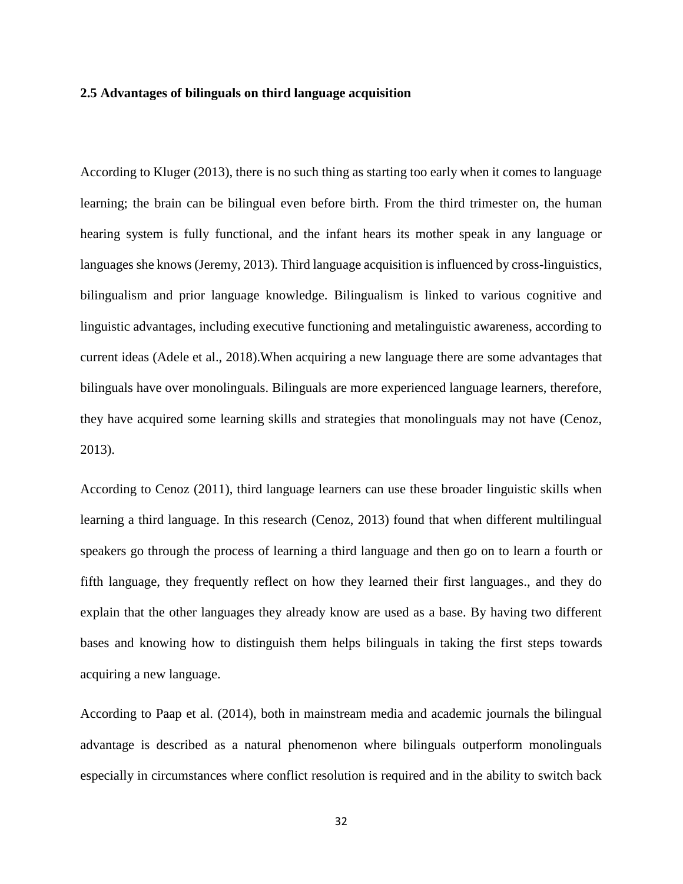#### **2.5 Advantages of bilinguals on third language acquisition**

According to Kluger (2013), there is no such thing as starting too early when it comes to language learning; the brain can be bilingual even before birth. From the third trimester on, the human hearing system is fully functional, and the infant hears its mother speak in any language or languages she knows (Jeremy, 2013). Third language acquisition is influenced by cross-linguistics, bilingualism and prior language knowledge. Bilingualism is linked to various cognitive and linguistic advantages, including executive functioning and metalinguistic awareness, according to current ideas (Adele et al., 2018).When acquiring a new language there are some advantages that bilinguals have over monolinguals. Bilinguals are more experienced language learners, therefore, they have acquired some learning skills and strategies that monolinguals may not have (Cenoz, 2013).

According to Cenoz (2011), third language learners can use these broader linguistic skills when learning a third language. In this research (Cenoz, 2013) found that when different multilingual speakers go through the process of learning a third language and then go on to learn a fourth or fifth language, they frequently reflect on how they learned their first languages., and they do explain that the other languages they already know are used as a base. By having two different bases and knowing how to distinguish them helps bilinguals in taking the first steps towards acquiring a new language.

According to Paap et al. (2014), both in mainstream media and academic journals the bilingual advantage is described as a natural phenomenon where bilinguals outperform monolinguals especially in circumstances where conflict resolution is required and in the ability to switch back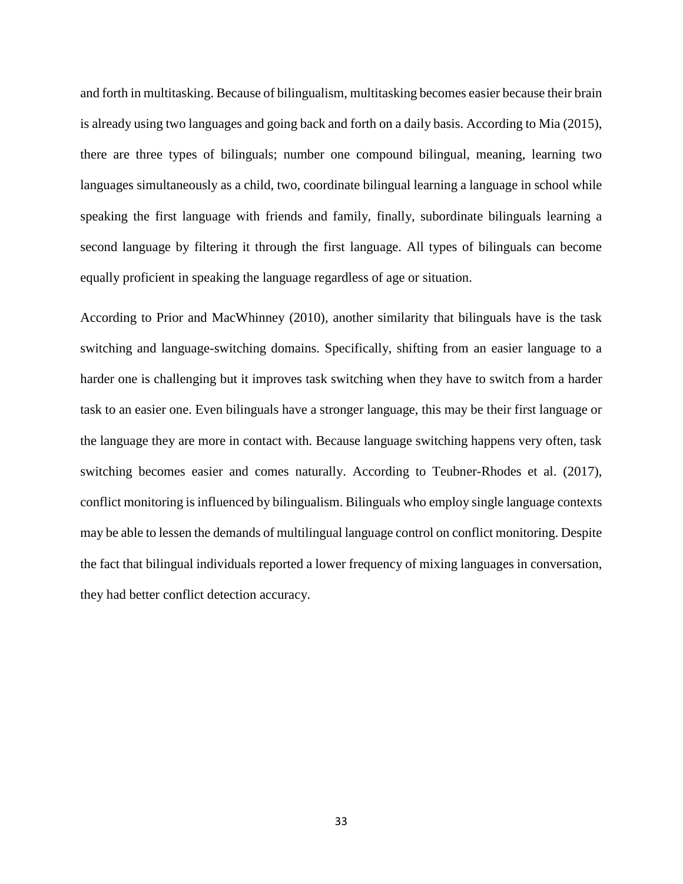and forth in multitasking. Because of bilingualism, multitasking becomes easier because their brain is already using two languages and going back and forth on a daily basis. According to Mia (2015), there are three types of bilinguals; number one compound bilingual, meaning, learning two languages simultaneously as a child, two, coordinate bilingual learning a language in school while speaking the first language with friends and family, finally, subordinate bilinguals learning a second language by filtering it through the first language. All types of bilinguals can become equally proficient in speaking the language regardless of age or situation.

According to Prior and MacWhinney (2010), another similarity that bilinguals have is the task switching and language-switching domains. Specifically, shifting from an easier language to a harder one is challenging but it improves task switching when they have to switch from a harder task to an easier one. Even bilinguals have a stronger language, this may be their first language or the language they are more in contact with. Because language switching happens very often, task switching becomes easier and comes naturally. According to Teubner-Rhodes et al. (2017), conflict monitoring is influenced by bilingualism. Bilinguals who employ single language contexts may be able to lessen the demands of multilingual language control on conflict monitoring. Despite the fact that bilingual individuals reported a lower frequency of mixing languages in conversation, they had better conflict detection accuracy.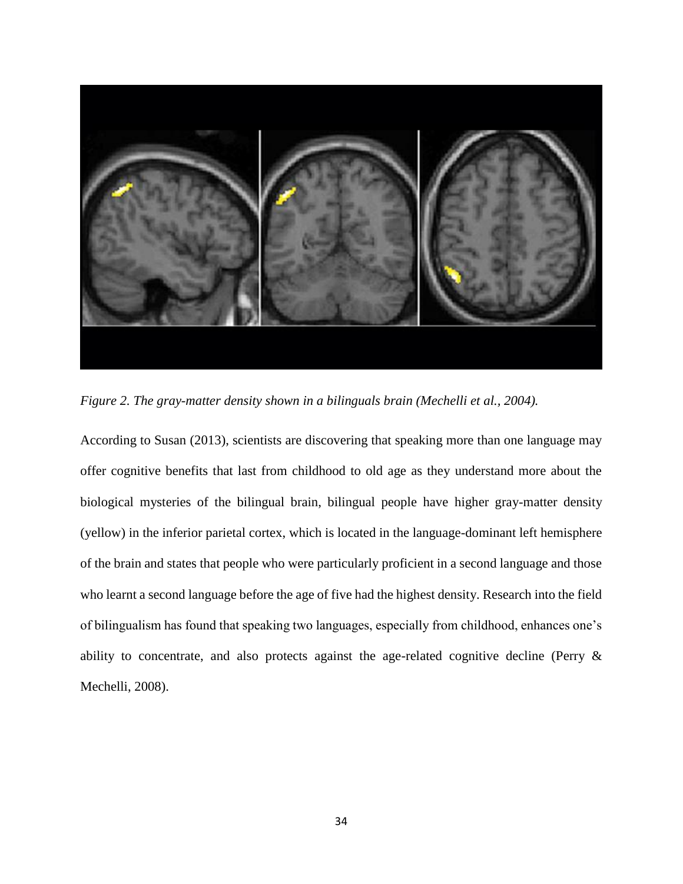

*Figure 2. The gray-matter density shown in a bilinguals brain (Mechelli et al., 2004).* 

According to Susan (2013), scientists are discovering that speaking more than one language may offer cognitive benefits that last from childhood to old age as they understand more about the biological mysteries of the bilingual brain, bilingual people have higher gray-matter density (yellow) in the inferior parietal cortex, which is located in the language-dominant left hemisphere of the brain and states that people who were particularly proficient in a second language and those who learnt a second language before the age of five had the highest density. Research into the field of bilingualism has found that speaking two languages, especially from childhood, enhances one's ability to concentrate, and also protects against the age-related cognitive decline (Perry & Mechelli, 2008).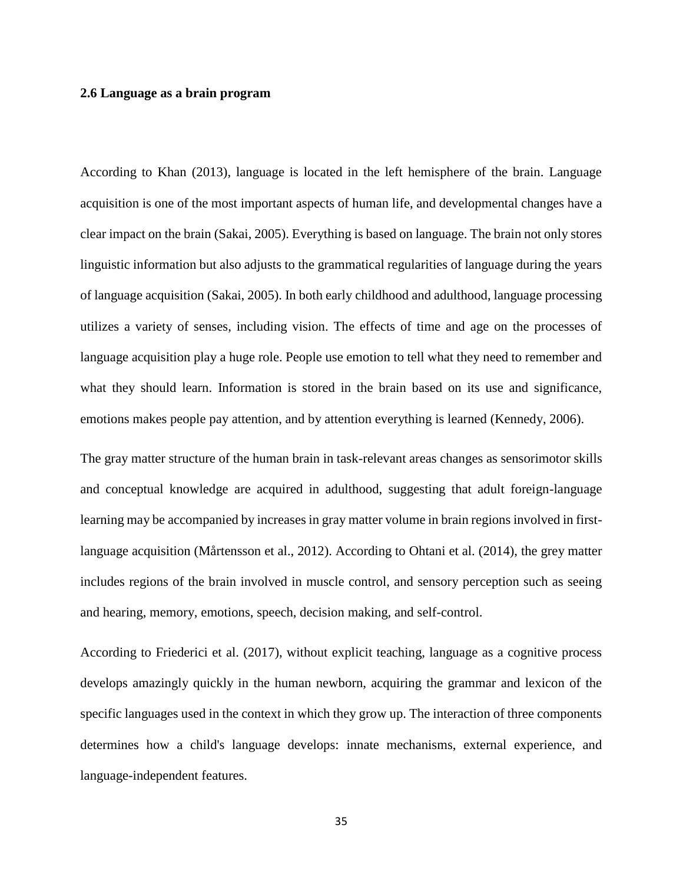#### **2.6 Language as a brain program**

According to Khan (2013), language is located in the left hemisphere of the brain. Language acquisition is one of the most important aspects of human life, and developmental changes have a clear impact on the brain (Sakai, 2005). Everything is based on language. The brain not only stores linguistic information but also adjusts to the grammatical regularities of language during the years of language acquisition (Sakai, 2005). In both early childhood and adulthood, language processing utilizes a variety of senses, including vision. The effects of time and age on the processes of language acquisition play a huge role. People use emotion to tell what they need to remember and what they should learn. Information is stored in the brain based on its use and significance, emotions makes people pay attention, and by attention everything is learned (Kennedy, 2006).

The gray matter structure of the human brain in task-relevant areas changes as sensorimotor skills and conceptual knowledge are acquired in adulthood, suggesting that adult foreign-language learning may be accompanied by increases in gray matter volume in brain regions involved in firstlanguage acquisition (Mårtensson et al., 2012). According to Ohtani et al. (2014), the grey matter includes regions of the brain involved in muscle control, and sensory perception such as seeing and hearing, memory, emotions, speech, decision making, and self-control.

According to Friederici et al. (2017), without explicit teaching, language as a cognitive process develops amazingly quickly in the human newborn, acquiring the grammar and lexicon of the specific languages used in the context in which they grow up. The interaction of three components determines how a child's language develops: innate mechanisms, external experience, and language-independent features.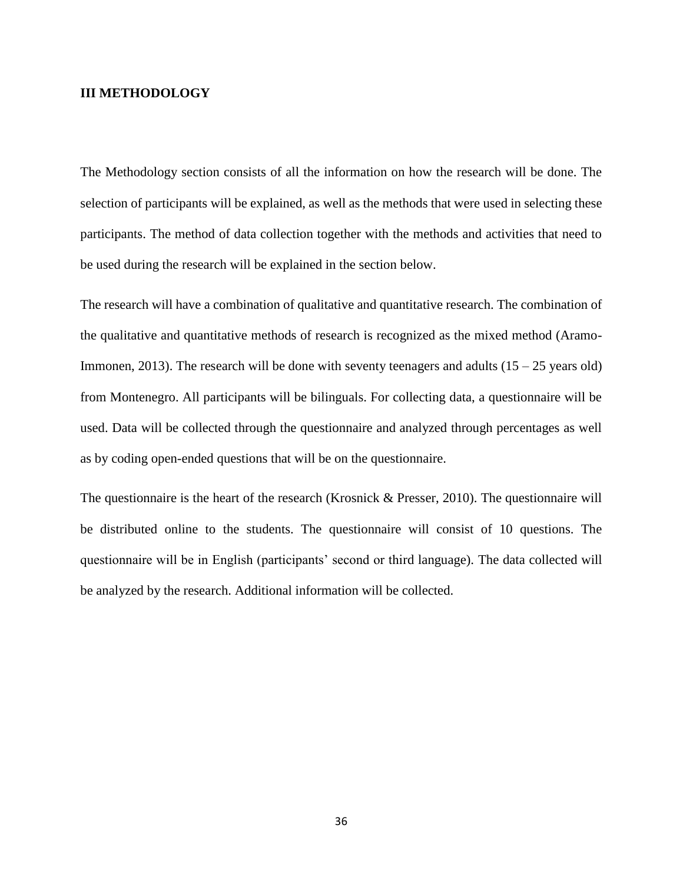#### **III METHODOLOGY**

The Methodology section consists of all the information on how the research will be done. The selection of participants will be explained, as well as the methods that were used in selecting these participants. The method of data collection together with the methods and activities that need to be used during the research will be explained in the section below.

The research will have a combination of qualitative and quantitative research. The combination of the qualitative and quantitative methods of research is recognized as the mixed method (Aramo-Immonen, 2013). The research will be done with seventy teenagers and adults  $(15 - 25$  years old) from Montenegro. All participants will be bilinguals. For collecting data, a questionnaire will be used. Data will be collected through the questionnaire and analyzed through percentages as well as by coding open-ended questions that will be on the questionnaire.

The questionnaire is the heart of the research (Krosnick & Presser, 2010). The questionnaire will be distributed online to the students. The questionnaire will consist of 10 questions. The questionnaire will be in English (participants' second or third language). The data collected will be analyzed by the research. Additional information will be collected.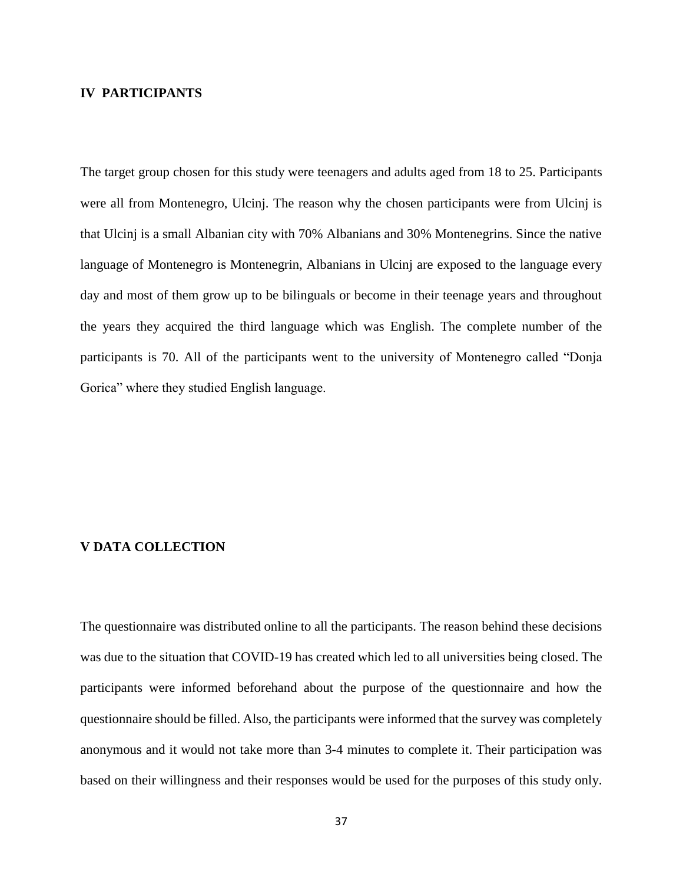#### **IV PARTICIPANTS**

The target group chosen for this study were teenagers and adults aged from 18 to 25. Participants were all from Montenegro, Ulcinj. The reason why the chosen participants were from Ulcinj is that Ulcinj is a small Albanian city with 70% Albanians and 30% Montenegrins. Since the native language of Montenegro is Montenegrin, Albanians in Ulcinj are exposed to the language every day and most of them grow up to be bilinguals or become in their teenage years and throughout the years they acquired the third language which was English. The complete number of the participants is 70. All of the participants went to the university of Montenegro called "Donja Gorica" where they studied English language.

#### **V DATA COLLECTION**

The questionnaire was distributed online to all the participants. The reason behind these decisions was due to the situation that COVID-19 has created which led to all universities being closed. The participants were informed beforehand about the purpose of the questionnaire and how the questionnaire should be filled. Also, the participants were informed that the survey was completely anonymous and it would not take more than 3-4 minutes to complete it. Their participation was based on their willingness and their responses would be used for the purposes of this study only.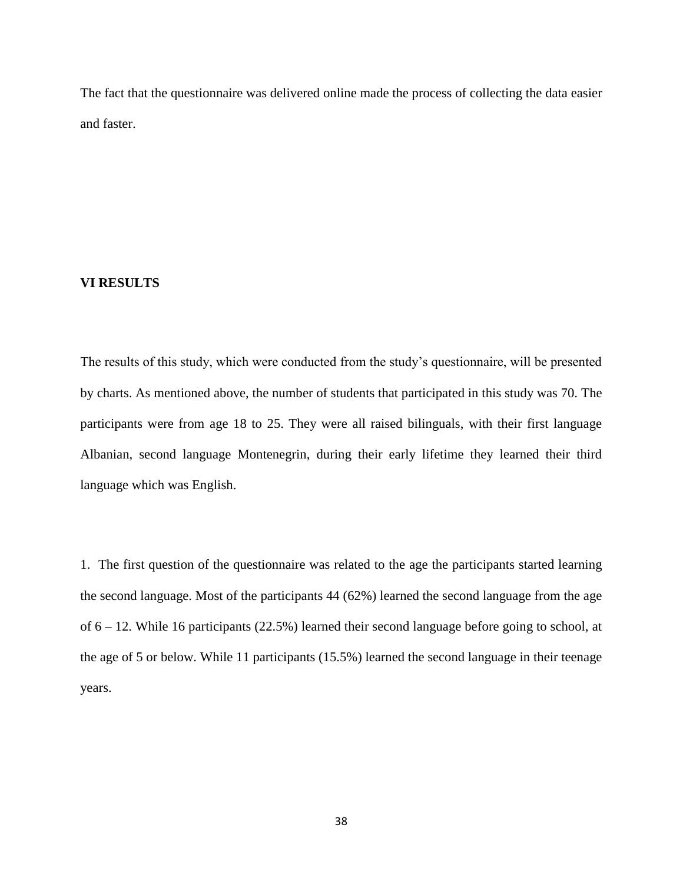The fact that the questionnaire was delivered online made the process of collecting the data easier and faster.

#### **VI RESULTS**

The results of this study, which were conducted from the study's questionnaire, will be presented by charts. As mentioned above, the number of students that participated in this study was 70. The participants were from age 18 to 25. They were all raised bilinguals, with their first language Albanian, second language Montenegrin, during their early lifetime they learned their third language which was English.

1. The first question of the questionnaire was related to the age the participants started learning the second language. Most of the participants 44 (62%) learned the second language from the age of 6 – 12. While 16 participants (22.5%) learned their second language before going to school, at the age of 5 or below. While 11 participants (15.5%) learned the second language in their teenage years.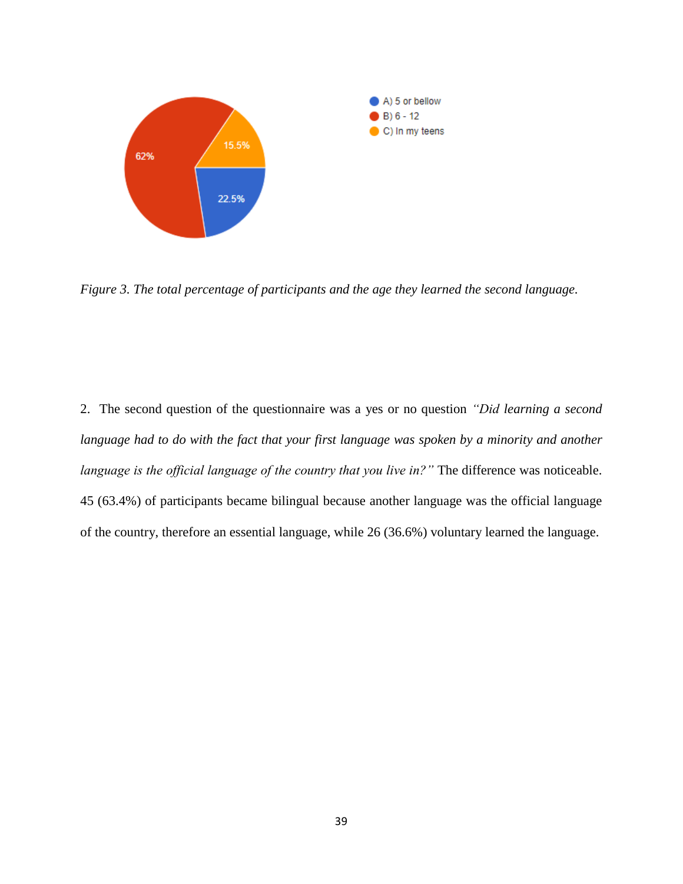

*Figure 3. The total percentage of participants and the age they learned the second language.*

2. The second question of the questionnaire was a yes or no question *"Did learning a second language had to do with the fact that your first language was spoken by a minority and another language is the official language of the country that you live in?"* The difference was noticeable. 45 (63.4%) of participants became bilingual because another language was the official language of the country, therefore an essential language, while 26 (36.6%) voluntary learned the language.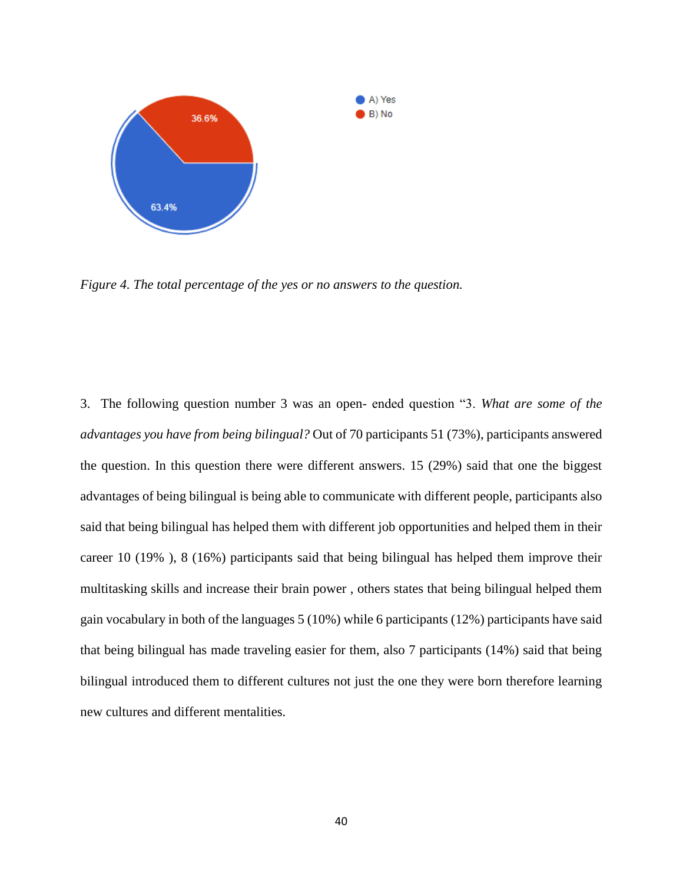

*Figure 4. The total percentage of the yes or no answers to the question.*

3. The following question number 3 was an open- ended question "3. *What are some of the advantages you have from being bilingual?* Out of 70 participants 51 (73%), participants answered the question. In this question there were different answers. 15 (29%) said that one the biggest advantages of being bilingual is being able to communicate with different people, participants also said that being bilingual has helped them with different job opportunities and helped them in their career 10 (19% ), 8 (16%) participants said that being bilingual has helped them improve their multitasking skills and increase their brain power , others states that being bilingual helped them gain vocabulary in both of the languages 5 (10%) while 6 participants (12%) participants have said that being bilingual has made traveling easier for them, also 7 participants (14%) said that being bilingual introduced them to different cultures not just the one they were born therefore learning new cultures and different mentalities.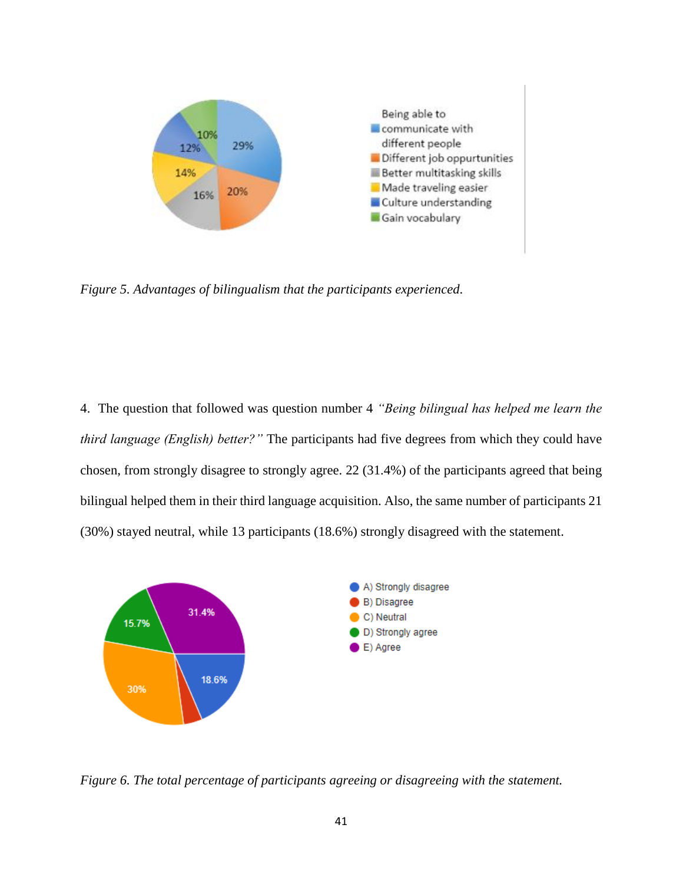

*Figure 5. Advantages of bilingualism that the participants experienced.*

4. The question that followed was question number 4 *"Being bilingual has helped me learn the third language (English) better?"* The participants had five degrees from which they could have chosen, from strongly disagree to strongly agree. 22 (31.4%) of the participants agreed that being bilingual helped them in their third language acquisition. Also, the same number of participants 21 (30%) stayed neutral, while 13 participants (18.6%) strongly disagreed with the statement.



*Figure 6. The total percentage of participants agreeing or disagreeing with the statement.*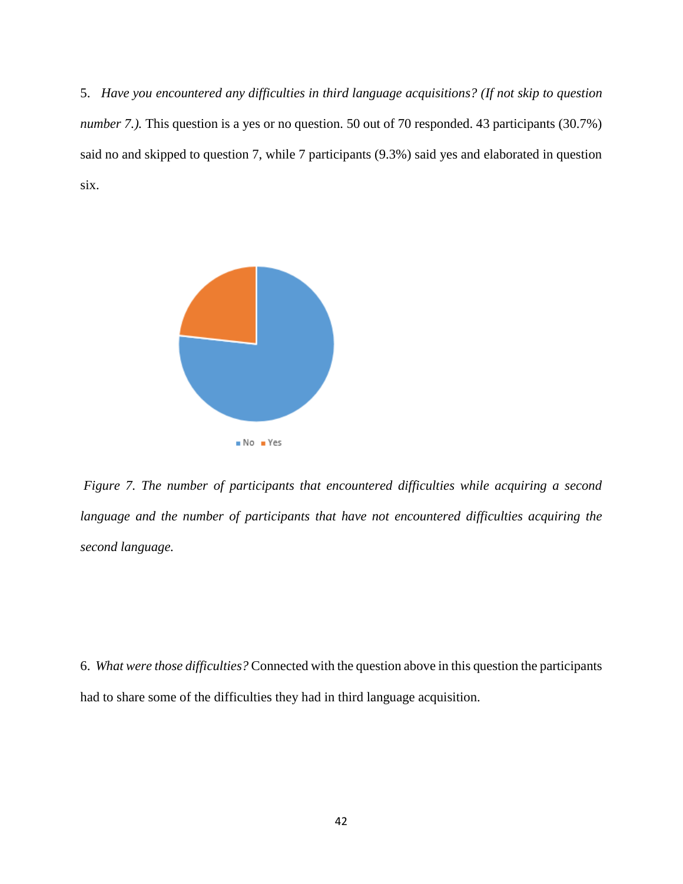5. *Have you encountered any difficulties in third language acquisitions? (If not skip to question number 7.*). This question is a yes or no question. 50 out of 70 responded. 43 participants (30.7%) said no and skipped to question 7, while 7 participants (9.3%) said yes and elaborated in question six.



*Figure 7. The number of participants that encountered difficulties while acquiring a second*  language and the number of participants that have not encountered difficulties acquiring the *second language.*

6. *What were those difficulties?* Connected with the question above in this question the participants had to share some of the difficulties they had in third language acquisition.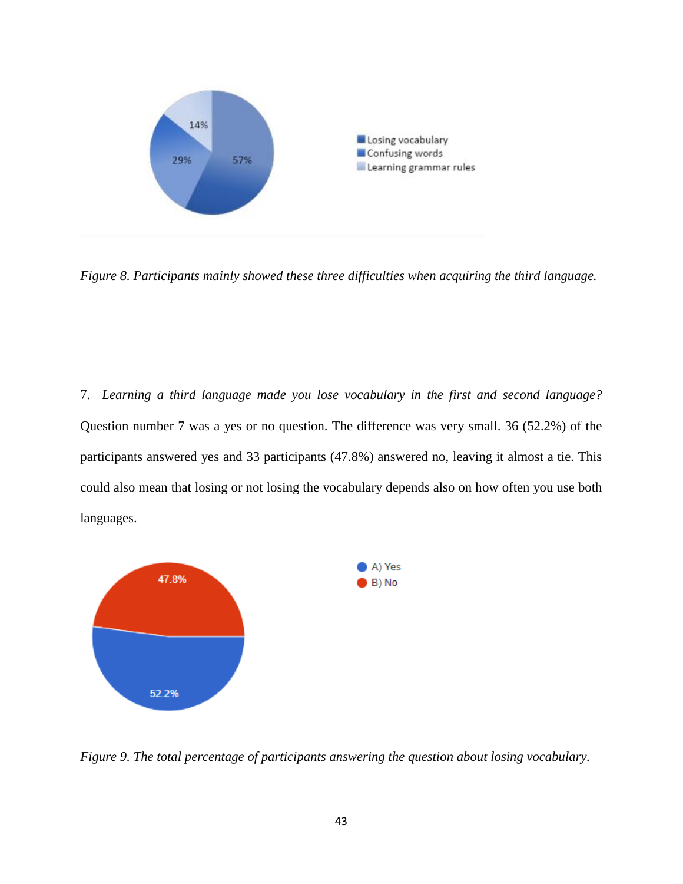

*Figure 8. Participants mainly showed these three difficulties when acquiring the third language.*

7. *Learning a third language made you lose vocabulary in the first and second language?* Question number 7 was a yes or no question. The difference was very small. 36 (52.2%) of the participants answered yes and 33 participants (47.8%) answered no, leaving it almost a tie. This could also mean that losing or not losing the vocabulary depends also on how often you use both languages.



*Figure 9. The total percentage of participants answering the question about losing vocabulary.*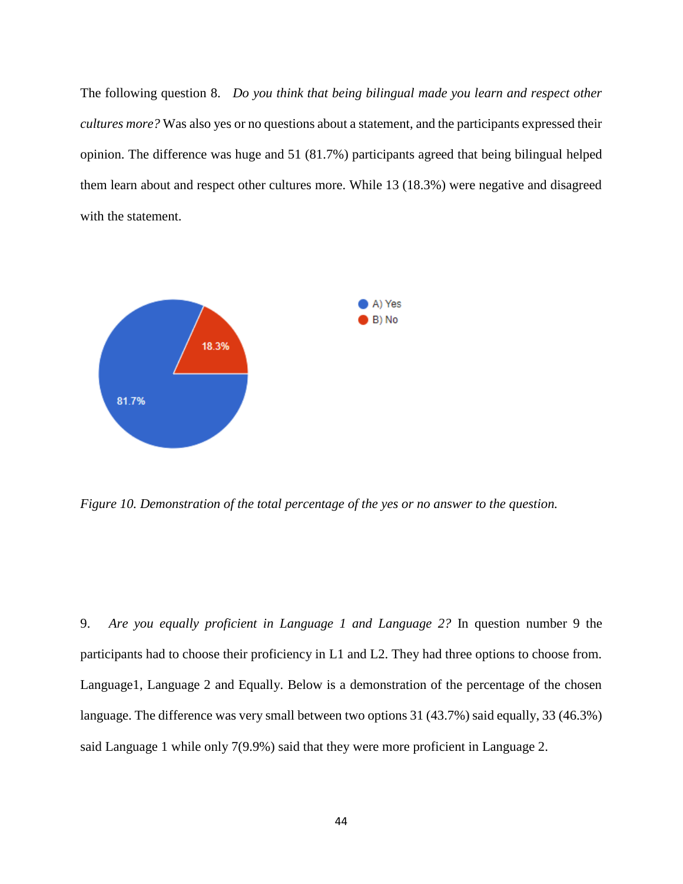The following question 8. *Do you think that being bilingual made you learn and respect other cultures more?* Was also yes or no questions about a statement, and the participants expressed their opinion. The difference was huge and 51 (81.7%) participants agreed that being bilingual helped them learn about and respect other cultures more. While 13 (18.3%) were negative and disagreed with the statement.



*Figure 10. Demonstration of the total percentage of the yes or no answer to the question.*

9. *Are you equally proficient in Language 1 and Language 2?* In question number 9 the participants had to choose their proficiency in L1 and L2. They had three options to choose from. Language1, Language 2 and Equally. Below is a demonstration of the percentage of the chosen language. The difference was very small between two options 31 (43.7%) said equally, 33 (46.3%) said Language 1 while only 7(9.9%) said that they were more proficient in Language 2.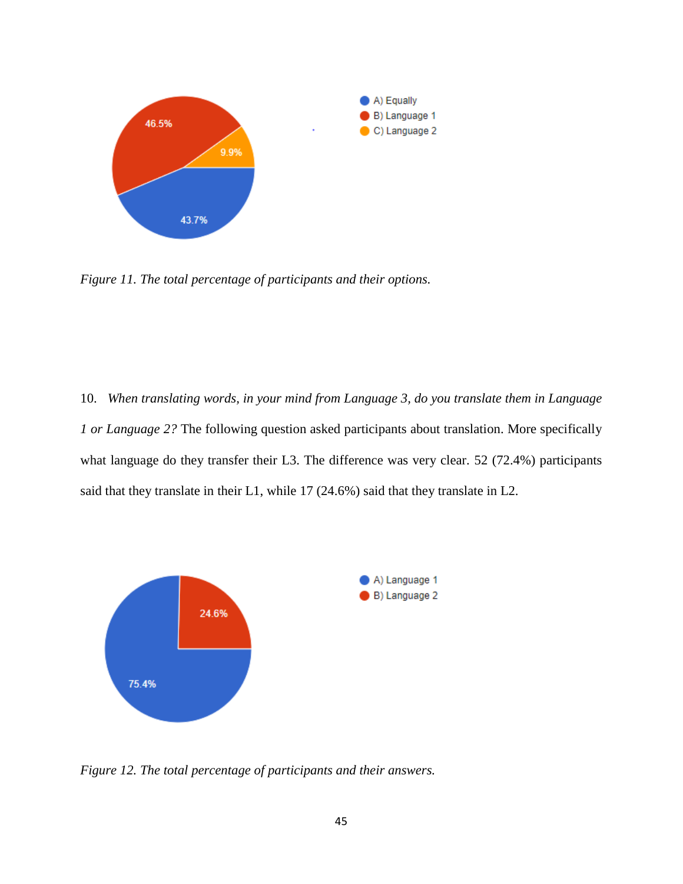

*Figure 11. The total percentage of participants and their options.*

10. *When translating words, in your mind from Language 3, do you translate them in Language 1 or Language 2?* The following question asked participants about translation. More specifically what language do they transfer their L3. The difference was very clear. 52 (72.4%) participants said that they translate in their L1, while 17 (24.6%) said that they translate in L2.



*Figure 12. The total percentage of participants and their answers.*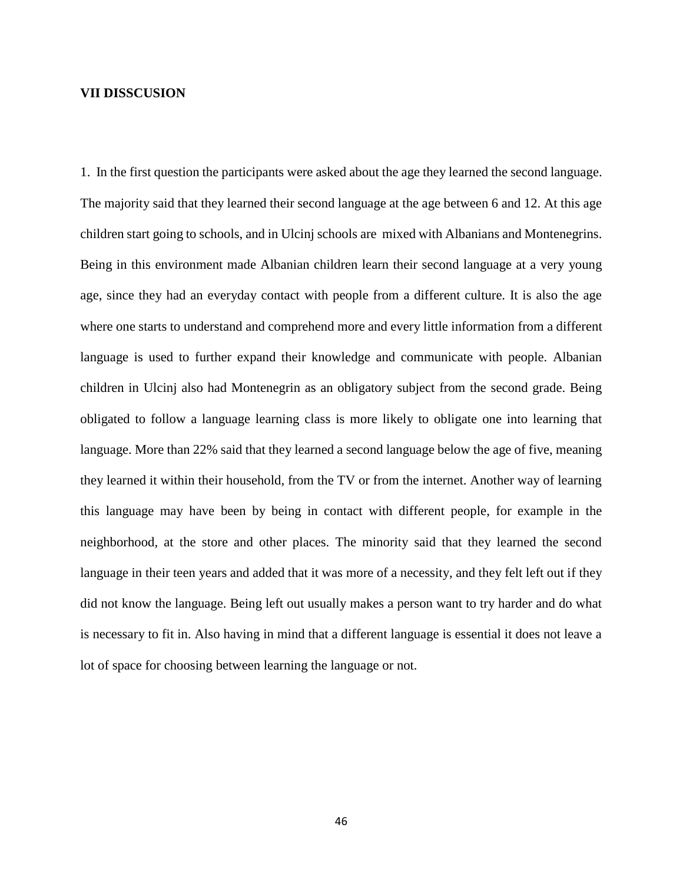#### **VII DISSCUSION**

1. In the first question the participants were asked about the age they learned the second language. The majority said that they learned their second language at the age between 6 and 12. At this age children start going to schools, and in Ulcinj schools are mixed with Albanians and Montenegrins. Being in this environment made Albanian children learn their second language at a very young age, since they had an everyday contact with people from a different culture. It is also the age where one starts to understand and comprehend more and every little information from a different language is used to further expand their knowledge and communicate with people. Albanian children in Ulcinj also had Montenegrin as an obligatory subject from the second grade. Being obligated to follow a language learning class is more likely to obligate one into learning that language. More than 22% said that they learned a second language below the age of five, meaning they learned it within their household, from the TV or from the internet. Another way of learning this language may have been by being in contact with different people, for example in the neighborhood, at the store and other places. The minority said that they learned the second language in their teen years and added that it was more of a necessity, and they felt left out if they did not know the language. Being left out usually makes a person want to try harder and do what is necessary to fit in. Also having in mind that a different language is essential it does not leave a lot of space for choosing between learning the language or not.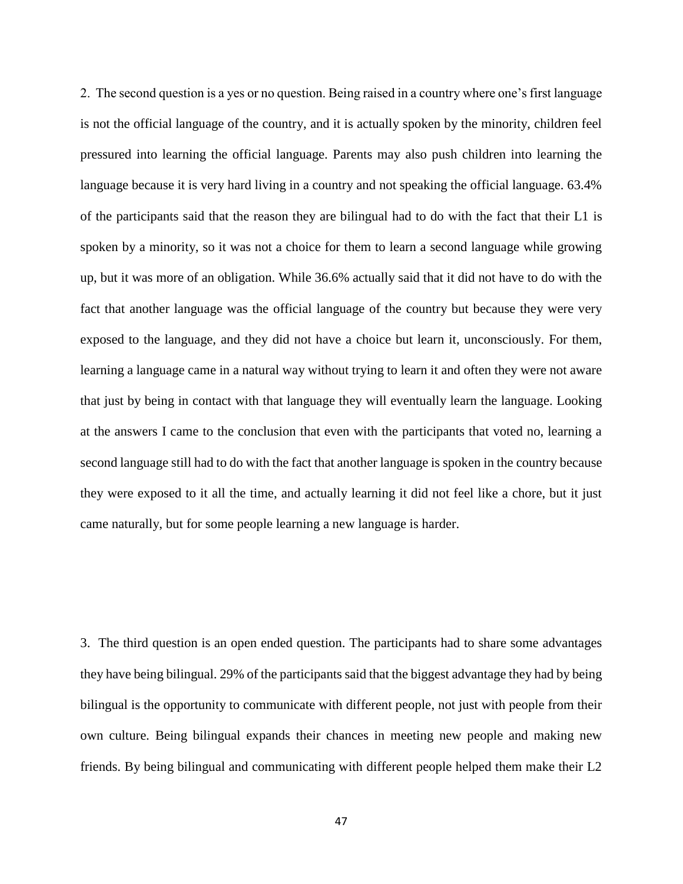2. The second question is a yes or no question. Being raised in a country where one's first language is not the official language of the country, and it is actually spoken by the minority, children feel pressured into learning the official language. Parents may also push children into learning the language because it is very hard living in a country and not speaking the official language. 63.4% of the participants said that the reason they are bilingual had to do with the fact that their L1 is spoken by a minority, so it was not a choice for them to learn a second language while growing up, but it was more of an obligation. While 36.6% actually said that it did not have to do with the fact that another language was the official language of the country but because they were very exposed to the language, and they did not have a choice but learn it, unconsciously. For them, learning a language came in a natural way without trying to learn it and often they were not aware that just by being in contact with that language they will eventually learn the language. Looking at the answers I came to the conclusion that even with the participants that voted no, learning a second language still had to do with the fact that another language is spoken in the country because they were exposed to it all the time, and actually learning it did not feel like a chore, but it just came naturally, but for some people learning a new language is harder.

3. The third question is an open ended question. The participants had to share some advantages they have being bilingual. 29% of the participants said that the biggest advantage they had by being bilingual is the opportunity to communicate with different people, not just with people from their own culture. Being bilingual expands their chances in meeting new people and making new friends. By being bilingual and communicating with different people helped them make their L2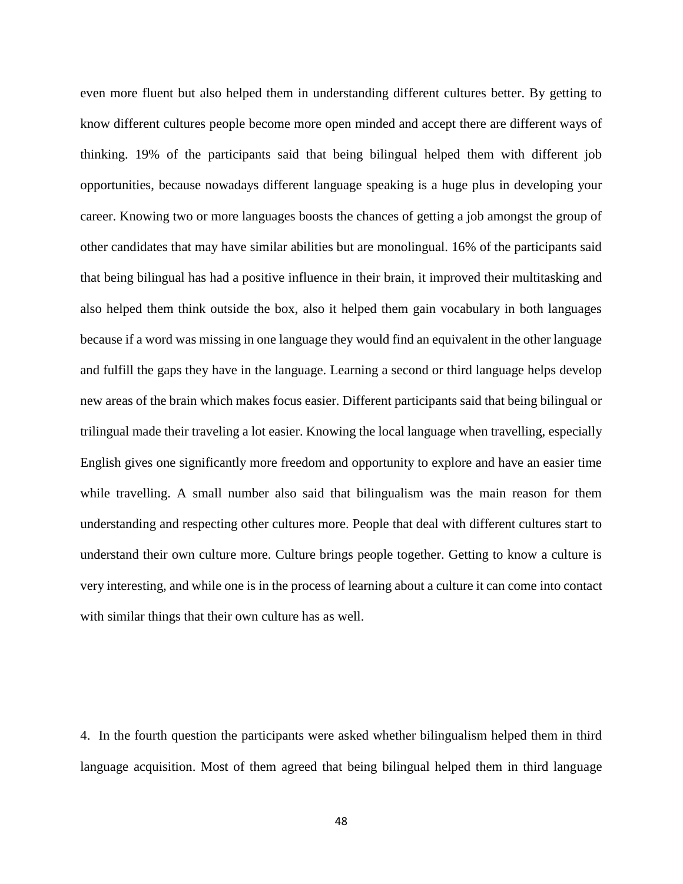even more fluent but also helped them in understanding different cultures better. By getting to know different cultures people become more open minded and accept there are different ways of thinking. 19% of the participants said that being bilingual helped them with different job opportunities, because nowadays different language speaking is a huge plus in developing your career. Knowing two or more languages boosts the chances of getting a job amongst the group of other candidates that may have similar abilities but are monolingual. 16% of the participants said that being bilingual has had a positive influence in their brain, it improved their multitasking and also helped them think outside the box, also it helped them gain vocabulary in both languages because if a word was missing in one language they would find an equivalent in the other language and fulfill the gaps they have in the language. Learning a second or third language helps develop new areas of the brain which makes focus easier. Different participants said that being bilingual or trilingual made their traveling a lot easier. Knowing the local language when travelling, especially English gives one significantly more freedom and opportunity to explore and have an easier time while travelling. A small number also said that bilingualism was the main reason for them understanding and respecting other cultures more. People that deal with different cultures start to understand their own culture more. Culture brings people together. Getting to know a culture is very interesting, and while one is in the process of learning about a culture it can come into contact with similar things that their own culture has as well.

4. In the fourth question the participants were asked whether bilingualism helped them in third language acquisition. Most of them agreed that being bilingual helped them in third language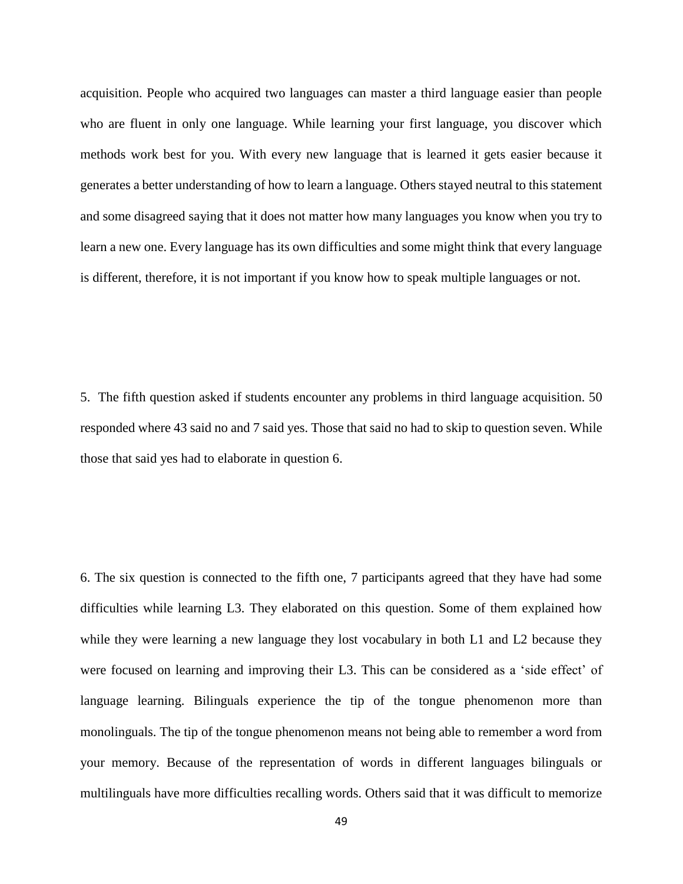acquisition. People who acquired two languages can master a third language easier than people who are fluent in only one language. While learning your first language, you discover which methods work best for you. With every new language that is learned it gets easier because it generates a better understanding of how to learn a language. Others stayed neutral to this statement and some disagreed saying that it does not matter how many languages you know when you try to learn a new one. Every language has its own difficulties and some might think that every language is different, therefore, it is not important if you know how to speak multiple languages or not.

5. The fifth question asked if students encounter any problems in third language acquisition. 50 responded where 43 said no and 7 said yes. Those that said no had to skip to question seven. While those that said yes had to elaborate in question 6.

6. The six question is connected to the fifth one, 7 participants agreed that they have had some difficulties while learning L3. They elaborated on this question. Some of them explained how while they were learning a new language they lost vocabulary in both L1 and L2 because they were focused on learning and improving their L3. This can be considered as a 'side effect' of language learning. Bilinguals experience the tip of the tongue phenomenon more than monolinguals. The tip of the tongue phenomenon means not being able to remember a word from your memory. Because of the representation of words in different languages bilinguals or multilinguals have more difficulties recalling words. Others said that it was difficult to memorize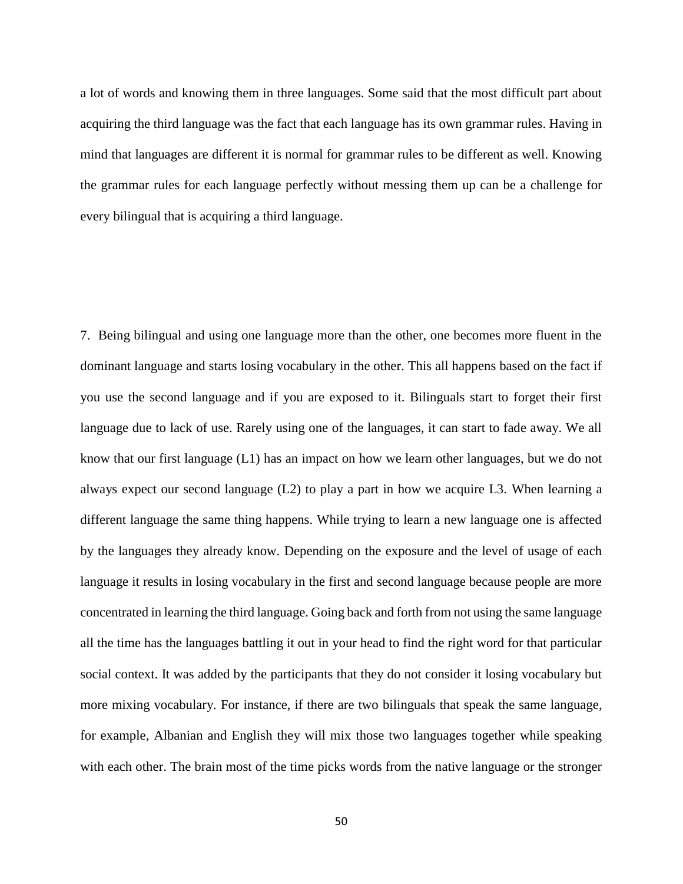a lot of words and knowing them in three languages. Some said that the most difficult part about acquiring the third language was the fact that each language has its own grammar rules. Having in mind that languages are different it is normal for grammar rules to be different as well. Knowing the grammar rules for each language perfectly without messing them up can be a challenge for every bilingual that is acquiring a third language.

7. Being bilingual and using one language more than the other, one becomes more fluent in the dominant language and starts losing vocabulary in the other. This all happens based on the fact if you use the second language and if you are exposed to it. Bilinguals start to forget their first language due to lack of use. Rarely using one of the languages, it can start to fade away. We all know that our first language (L1) has an impact on how we learn other languages, but we do not always expect our second language (L2) to play a part in how we acquire L3. When learning a different language the same thing happens. While trying to learn a new language one is affected by the languages they already know. Depending on the exposure and the level of usage of each language it results in losing vocabulary in the first and second language because people are more concentrated in learning the third language. Going back and forth from not using the same language all the time has the languages battling it out in your head to find the right word for that particular social context. It was added by the participants that they do not consider it losing vocabulary but more mixing vocabulary. For instance, if there are two bilinguals that speak the same language, for example, Albanian and English they will mix those two languages together while speaking with each other. The brain most of the time picks words from the native language or the stronger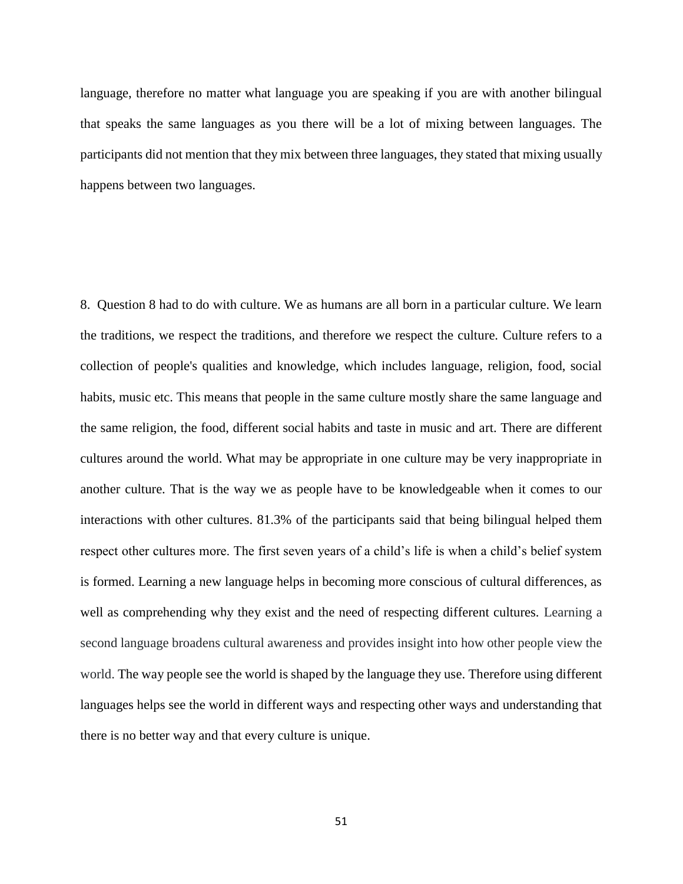language, therefore no matter what language you are speaking if you are with another bilingual that speaks the same languages as you there will be a lot of mixing between languages. The participants did not mention that they mix between three languages, they stated that mixing usually happens between two languages.

8. Question 8 had to do with culture. We as humans are all born in a particular culture. We learn the traditions, we respect the traditions, and therefore we respect the culture. Culture refers to a collection of people's qualities and knowledge, which includes language, religion, food, social habits, music etc. This means that people in the same culture mostly share the same language and the same religion, the food, different social habits and taste in music and art. There are different cultures around the world. What may be appropriate in one culture may be very inappropriate in another culture. That is the way we as people have to be knowledgeable when it comes to our interactions with other cultures. 81.3% of the participants said that being bilingual helped them respect other cultures more. The first seven years of a child's life is when a child's belief system is formed. Learning a new language helps in becoming more conscious of cultural differences, as well as comprehending why they exist and the need of respecting different cultures. Learning a second language broadens cultural awareness and provides insight into how other people view the world. The way people see the world is shaped by the language they use. Therefore using different languages helps see the world in different ways and respecting other ways and understanding that there is no better way and that every culture is unique.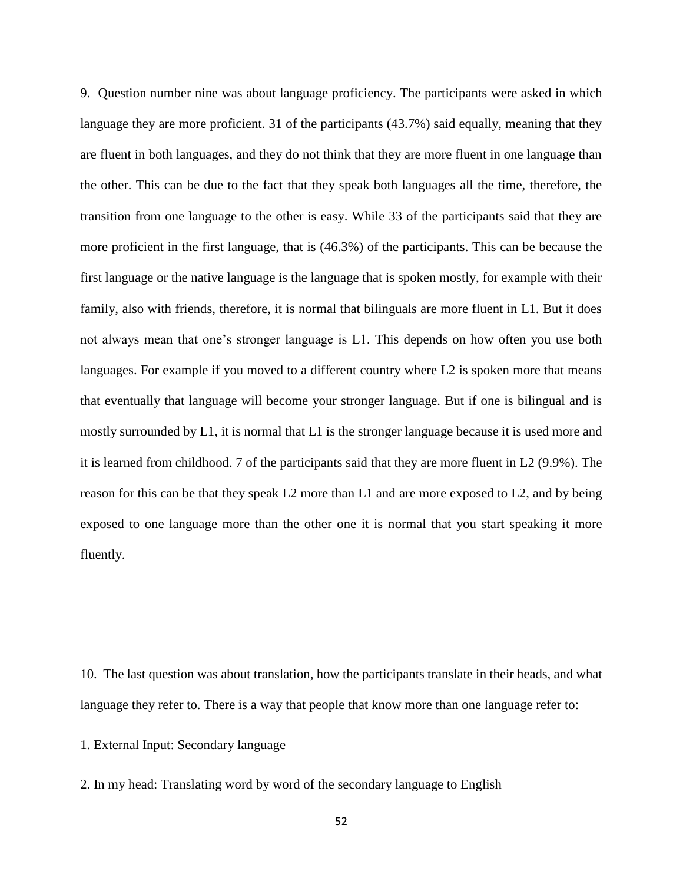9. Question number nine was about language proficiency. The participants were asked in which language they are more proficient. 31 of the participants (43.7%) said equally, meaning that they are fluent in both languages, and they do not think that they are more fluent in one language than the other. This can be due to the fact that they speak both languages all the time, therefore, the transition from one language to the other is easy. While 33 of the participants said that they are more proficient in the first language, that is (46.3%) of the participants. This can be because the first language or the native language is the language that is spoken mostly, for example with their family, also with friends, therefore, it is normal that bilinguals are more fluent in L1. But it does not always mean that one's stronger language is L1. This depends on how often you use both languages. For example if you moved to a different country where L2 is spoken more that means that eventually that language will become your stronger language. But if one is bilingual and is mostly surrounded by L1, it is normal that L1 is the stronger language because it is used more and it is learned from childhood. 7 of the participants said that they are more fluent in L2 (9.9%). The reason for this can be that they speak L2 more than L1 and are more exposed to L2, and by being exposed to one language more than the other one it is normal that you start speaking it more fluently.

10. The last question was about translation, how the participants translate in their heads, and what language they refer to. There is a way that people that know more than one language refer to:

1. External Input: Secondary language

2. In my head: Translating word by word of the secondary language to English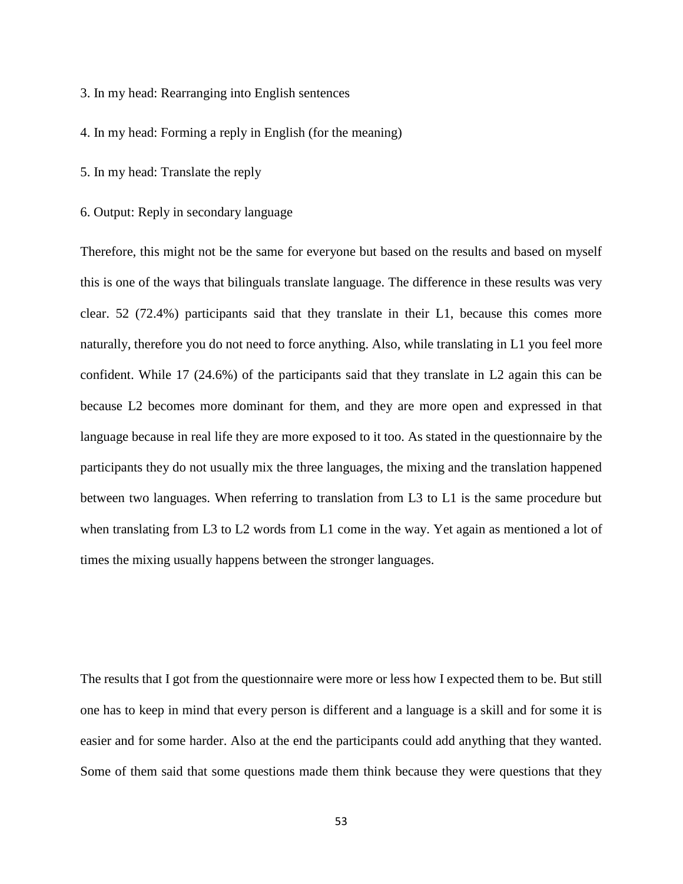- 3. In my head: Rearranging into English sentences
- 4. In my head: Forming a reply in English (for the meaning)
- 5. In my head: Translate the reply
- 6. Output: Reply in secondary language

Therefore, this might not be the same for everyone but based on the results and based on myself this is one of the ways that bilinguals translate language. The difference in these results was very clear. 52 (72.4%) participants said that they translate in their L1, because this comes more naturally, therefore you do not need to force anything. Also, while translating in L1 you feel more confident. While 17 (24.6%) of the participants said that they translate in L2 again this can be because L2 becomes more dominant for them, and they are more open and expressed in that language because in real life they are more exposed to it too. As stated in the questionnaire by the participants they do not usually mix the three languages, the mixing and the translation happened between two languages. When referring to translation from L3 to L1 is the same procedure but when translating from L3 to L2 words from L1 come in the way. Yet again as mentioned a lot of times the mixing usually happens between the stronger languages.

The results that I got from the questionnaire were more or less how I expected them to be. But still one has to keep in mind that every person is different and a language is a skill and for some it is easier and for some harder. Also at the end the participants could add anything that they wanted. Some of them said that some questions made them think because they were questions that they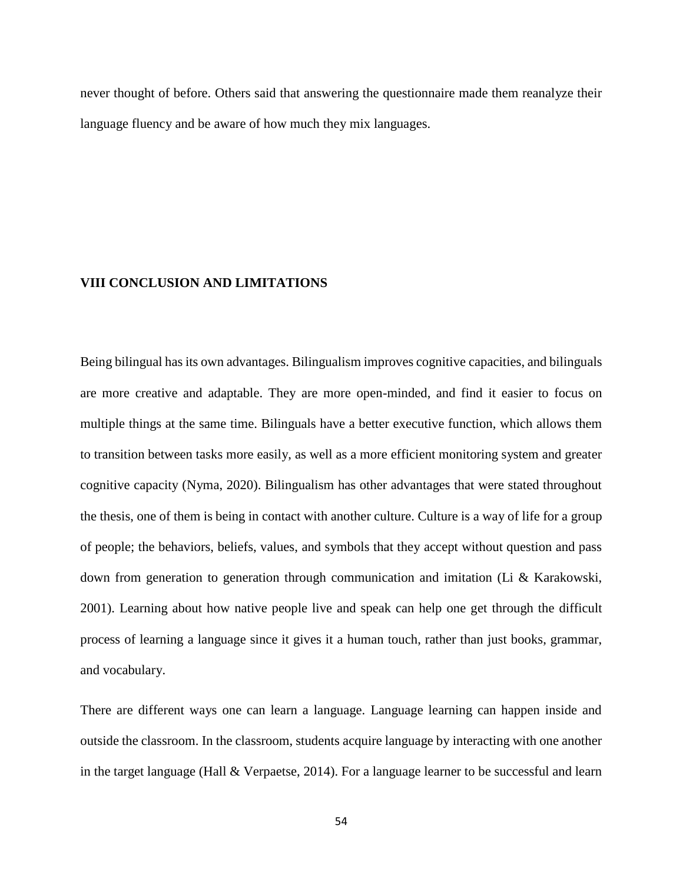never thought of before. Others said that answering the questionnaire made them reanalyze their language fluency and be aware of how much they mix languages.

#### **VIII CONCLUSION AND LIMITATIONS**

Being bilingual has its own advantages. Bilingualism improves cognitive capacities, and bilinguals are more creative and adaptable. They are more open-minded, and find it easier to focus on multiple things at the same time. Bilinguals have a better executive function, which allows them to transition between tasks more easily, as well as a more efficient monitoring system and greater cognitive capacity (Nyma, 2020). Bilingualism has other advantages that were stated throughout the thesis, one of them is being in contact with another culture. Culture is a way of life for a group of people; the behaviors, beliefs, values, and symbols that they accept without question and pass down from generation to generation through communication and imitation (Li & Karakowski, 2001). Learning about how native people live and speak can help one get through the difficult process of learning a language since it gives it a human touch, rather than just books, grammar, and vocabulary.

There are different ways one can learn a language. Language learning can happen inside and outside the classroom. In the classroom, students acquire language by interacting with one another in the target language (Hall & Verpaetse, 2014). For a language learner to be successful and learn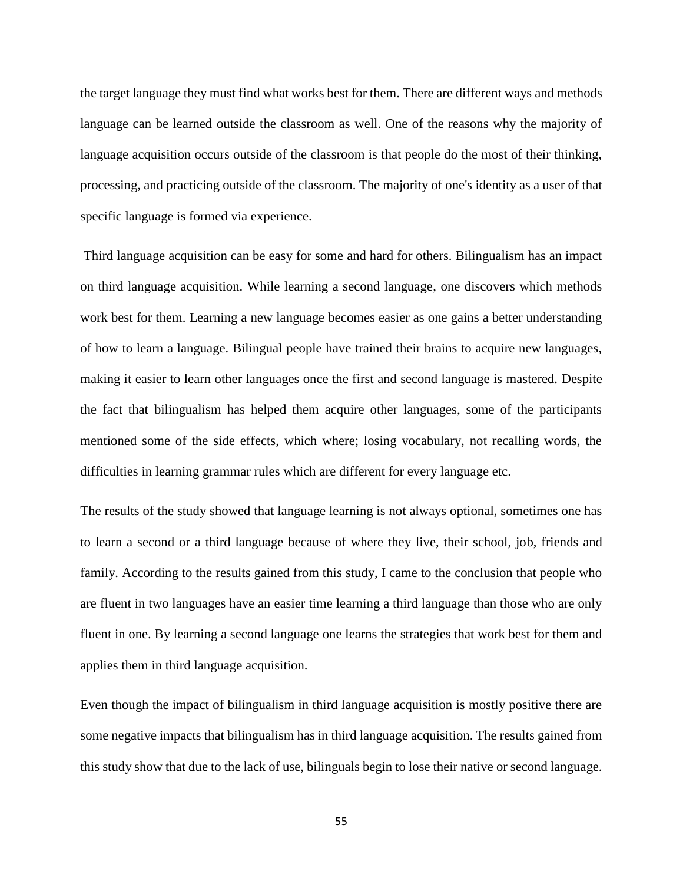the target language they must find what works best for them. There are different ways and methods language can be learned outside the classroom as well. One of the reasons why the majority of language acquisition occurs outside of the classroom is that people do the most of their thinking, processing, and practicing outside of the classroom. The majority of one's identity as a user of that specific language is formed via experience.

Third language acquisition can be easy for some and hard for others. Bilingualism has an impact on third language acquisition. While learning a second language, one discovers which methods work best for them. Learning a new language becomes easier as one gains a better understanding of how to learn a language. Bilingual people have trained their brains to acquire new languages, making it easier to learn other languages once the first and second language is mastered. Despite the fact that bilingualism has helped them acquire other languages, some of the participants mentioned some of the side effects, which where; losing vocabulary, not recalling words, the difficulties in learning grammar rules which are different for every language etc.

The results of the study showed that language learning is not always optional, sometimes one has to learn a second or a third language because of where they live, their school, job, friends and family. According to the results gained from this study, I came to the conclusion that people who are fluent in two languages have an easier time learning a third language than those who are only fluent in one. By learning a second language one learns the strategies that work best for them and applies them in third language acquisition.

Even though the impact of bilingualism in third language acquisition is mostly positive there are some negative impacts that bilingualism has in third language acquisition. The results gained from this study show that due to the lack of use, bilinguals begin to lose their native or second language.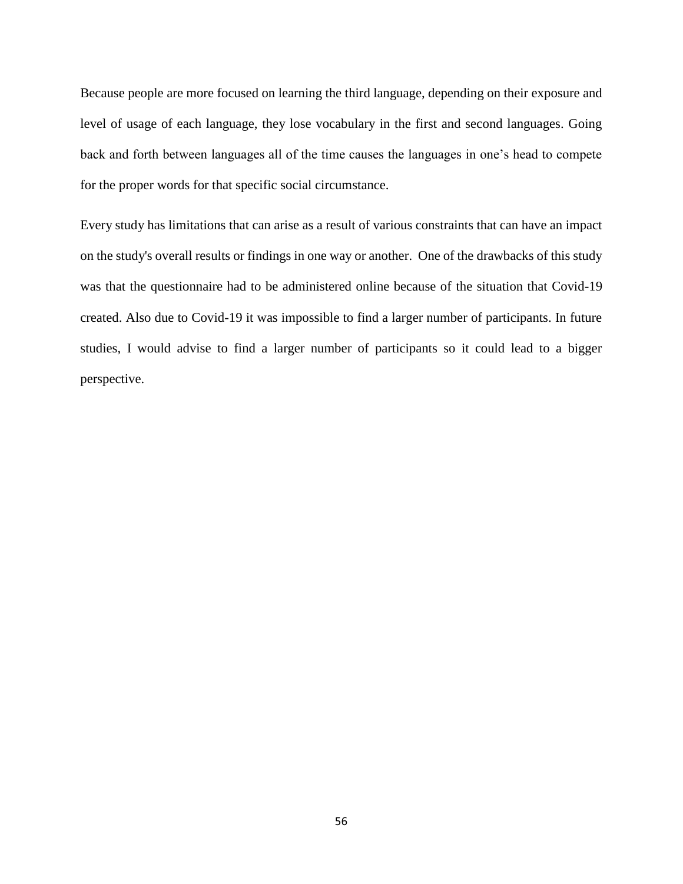Because people are more focused on learning the third language, depending on their exposure and level of usage of each language, they lose vocabulary in the first and second languages. Going back and forth between languages all of the time causes the languages in one's head to compete for the proper words for that specific social circumstance.

Every study has limitations that can arise as a result of various constraints that can have an impact on the study's overall results or findings in one way or another. One of the drawbacks of this study was that the questionnaire had to be administered online because of the situation that Covid-19 created. Also due to Covid-19 it was impossible to find a larger number of participants. In future studies, I would advise to find a larger number of participants so it could lead to a bigger perspective.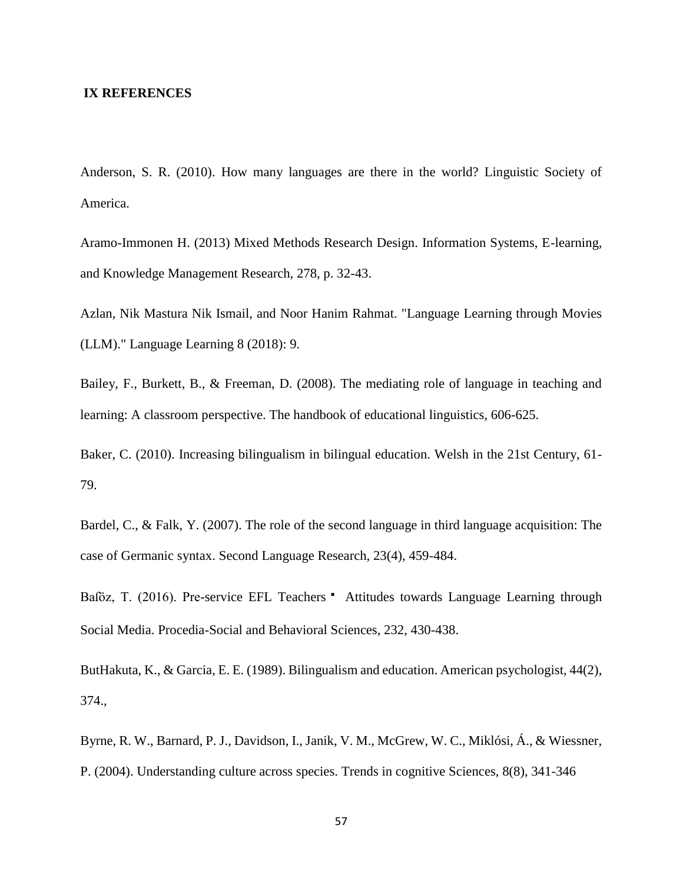#### **IX REFERENCES**

Anderson, S. R. (2010). How many languages are there in the world? Linguistic Society of America.

Aramo-Immonen H. (2013) Mixed Methods Research Design. Information Systems, E-learning, and Knowledge Management Research, 278, p. 32-43.

Azlan, Nik Mastura Nik Ismail, and Noor Hanim Rahmat. "Language Learning through Movies (LLM)." Language Learning 8 (2018): 9.

Bailey, F., Burkett, B., & Freeman, D. (2008). The mediating role of language in teaching and learning: A classroom perspective. The handbook of educational linguistics, 606-625.

Baker, C. (2010). Increasing bilingualism in bilingual education. Welsh in the 21st Century, 61- 79.

Bardel, C., & Falk, Y. (2007). The role of the second language in third language acquisition: The case of Germanic syntax. Second Language Research, 23(4), 459-484.

Baföz, T. (2016). Pre-service EFL Teachers • Attitudes towards Language Learning through Social Media. Procedia-Social and Behavioral Sciences, 232, 430-438.

ButHakuta, K., & Garcia, E. E. (1989). Bilingualism and education. American psychologist, 44(2), 374.,

Byrne, R. W., Barnard, P. J., Davidson, I., Janik, V. M., McGrew, W. C., Miklósi, Á., & Wiessner, P. (2004). Understanding culture across species. Trends in cognitive Sciences, 8(8), 341-346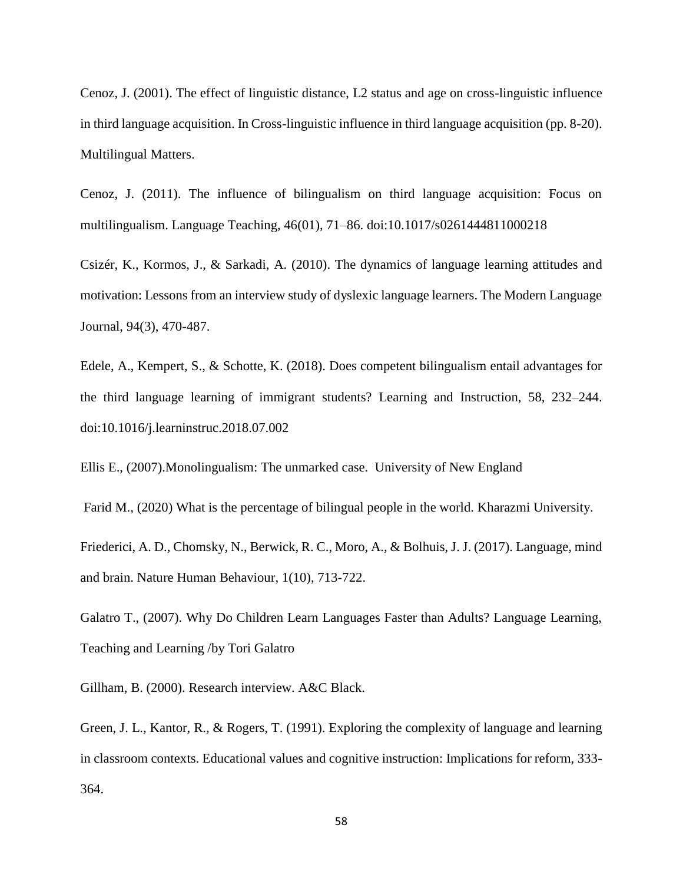Cenoz, J. (2001). The effect of linguistic distance, L2 status and age on cross-linguistic influence in third language acquisition. In Cross-linguistic influence in third language acquisition (pp. 8-20). Multilingual Matters.

Cenoz, J. (2011). The influence of bilingualism on third language acquisition: Focus on multilingualism. Language Teaching, 46(01), 71–86. doi:10.1017/s0261444811000218

Csizér, K., Kormos, J., & Sarkadi, A. (2010). The dynamics of language learning attitudes and motivation: Lessons from an interview study of dyslexic language learners. The Modern Language Journal, 94(3), 470-487.

Edele, A., Kempert, S., & Schotte, K. (2018). Does competent bilingualism entail advantages for the third language learning of immigrant students? Learning and Instruction, 58, 232–244. doi:10.1016/j.learninstruc.2018.07.002

Ellis E., (2007).Monolingualism: The unmarked case. University of New England

Farid M., (2020) What is the percentage of bilingual people in the world. Kharazmi University.

Friederici, A. D., Chomsky, N., Berwick, R. C., Moro, A., & Bolhuis, J. J. (2017). Language, mind and brain. Nature Human Behaviour, 1(10), 713-722.

Galatro T., (2007). Why Do Children Learn Languages Faster than Adults? Language Learning, Teaching and Learning /by Tori Galatro

Gillham, B. (2000). Research interview. A&C Black.

Green, J. L., Kantor, R., & Rogers, T. (1991). Exploring the complexity of language and learning in classroom contexts. Educational values and cognitive instruction: Implications for reform, 333- 364.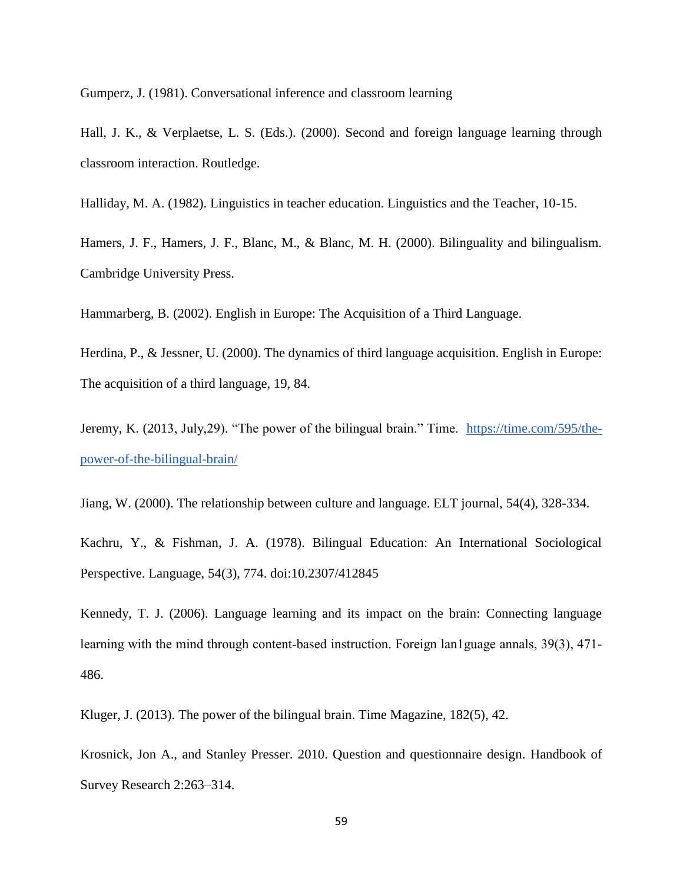Gumperz, J. (1981). Conversational inference and classroom learning

Hall, J. K., & Verplaetse, L. S. (Eds.). (2000). Second and foreign language learning through classroom interaction. Routledge.

Halliday, M. A. (1982). Linguistics in teacher education. Linguistics and the Teacher, 10-15.

Hamers, J. F., Hamers, J. F., Blanc, M., & Blanc, M. H. (2000). Bilinguality and bilingualism. Cambridge University Press.

Hammarberg, B. (2002). English in Europe: The Acquisition of a Third Language.

Herdina, P., & Jessner, U. (2000). The dynamics of third language acquisition. English in Europe: The acquisition of a third language, 19, 84.

Jeremy, K. (2013, July, 29). "The power of the bilingual brain." Time. [https://time.com/595/the](https://time.com/595/the-power-of-the-bilingual-brain/)[power-of-the-bilingual-brain/](https://time.com/595/the-power-of-the-bilingual-brain/)

Jiang, W. (2000). The relationship between culture and language. ELT journal, 54(4), 328-334.

Kachru, Y., & Fishman, J. A. (1978). Bilingual Education: An International Sociological Perspective. Language, 54(3), 774. doi:10.2307/412845

Kennedy, T. J. (2006). Language learning and its impact on the brain: Connecting language learning with the mind through content-based instruction. Foreign lan1guage annals, 39(3), 471-486.

Kluger, J. (2013). The power of the bilingual brain. Time Magazine, 182(5), 42.

Krosnick, Jon A., and Stanley Presser. 2010. Question and questionnaire design. Handbook of Survey Research 2:263–314.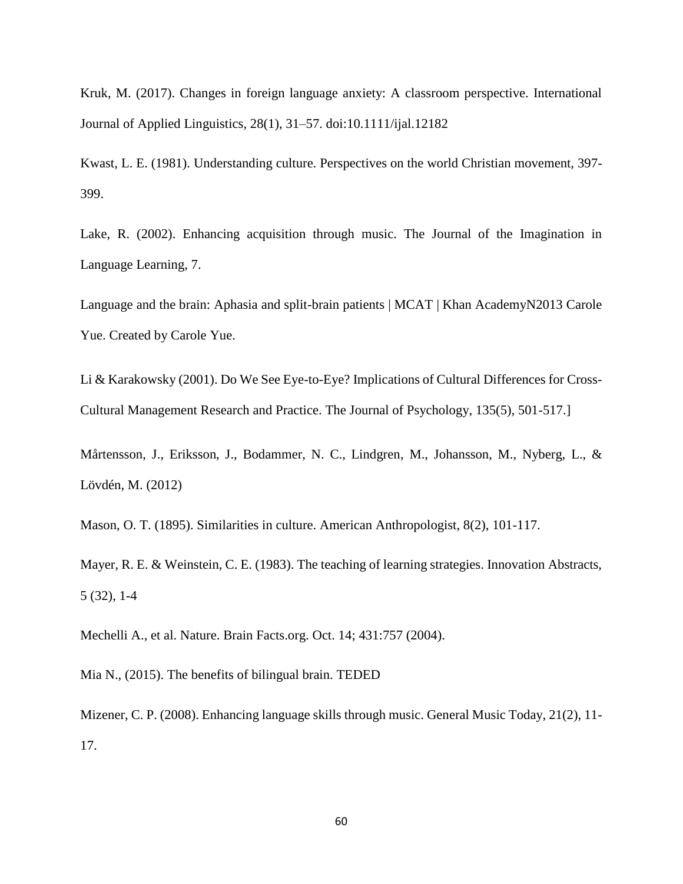Kruk, M. (2017). Changes in foreign language anxiety: A classroom perspective. International Journal of Applied Linguistics, 28(1), 31–57. doi:10.1111/ijal.12182

Kwast, L. E. (1981). Understanding culture. Perspectives on the world Christian movement, 397- 399.

Lake, R. (2002). Enhancing acquisition through music. The Journal of the Imagination in Language Learning, 7.

Language and the brain: Aphasia and split-brain patients | MCAT | Khan AcademyN2013 Carole Yue. Created by Carole Yue.

Li & Karakowsky (2001). Do We See Eye-to-Eye? Implications of Cultural Differences for Cross-Cultural Management Research and Practice. The Journal of Psychology, 135(5), 501-517.]

Mårtensson, J., Eriksson, J., Bodammer, N. C., Lindgren, M., Johansson, M., Nyberg, L., & Lövdén, M. (2012)

Mason, O. T. (1895). Similarities in culture. American Anthropologist, 8(2), 101-117.

Mayer, R. E. & Weinstein, C. E. (1983). The teaching of learning strategies. Innovation Abstracts, 5 (32), 1-4

Mechelli A., et al. Nature. Brain Facts.org. Oct. 14; 431:757 (2004).

Mia N., (2015). The benefits of bilingual brain. TEDED

Mizener, C. P. (2008). Enhancing language skills through music. General Music Today, 21(2), 11- 17.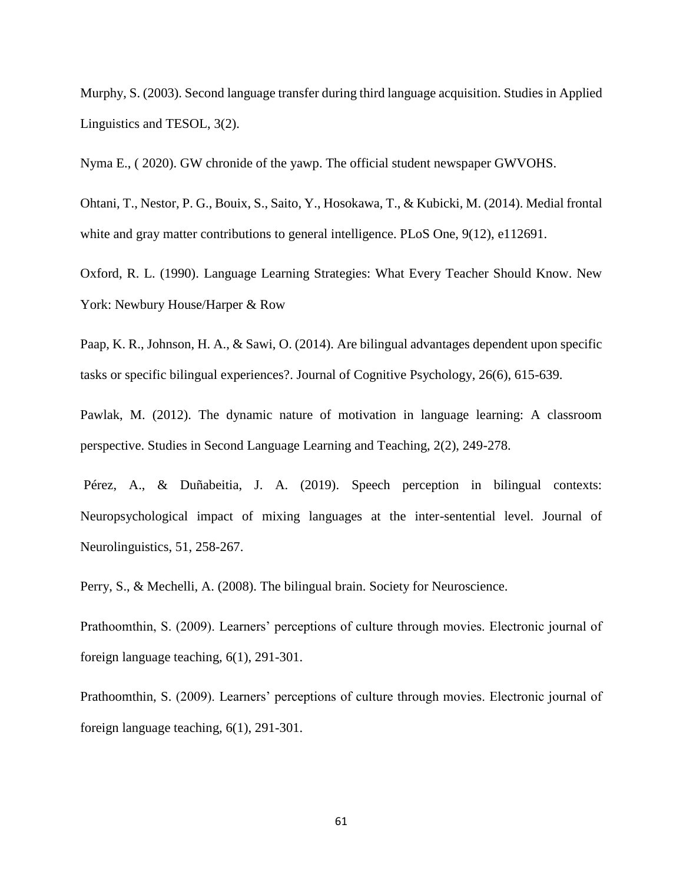Murphy, S. (2003). Second language transfer during third language acquisition. Studies in Applied Linguistics and TESOL, 3(2).

Nyma E., ( 2020). GW chronide of the yawp. The official student newspaper GWVOHS.

Ohtani, T., Nestor, P. G., Bouix, S., Saito, Y., Hosokawa, T., & Kubicki, M. (2014). Medial frontal white and gray matter contributions to general intelligence. PLoS One, 9(12), e112691.

Oxford, R. L. (1990). Language Learning Strategies: What Every Teacher Should Know. New York: Newbury House/Harper & Row

Paap, K. R., Johnson, H. A., & Sawi, O. (2014). Are bilingual advantages dependent upon specific tasks or specific bilingual experiences?. Journal of Cognitive Psychology, 26(6), 615-639.

Pawlak, M. (2012). The dynamic nature of motivation in language learning: A classroom perspective. Studies in Second Language Learning and Teaching, 2(2), 249-278.

Pérez, A., & Duñabeitia, J. A. (2019). Speech perception in bilingual contexts: Neuropsychological impact of mixing languages at the inter-sentential level. Journal of Neurolinguistics, 51, 258-267.

Perry, S., & Mechelli, A. (2008). The bilingual brain. Society for Neuroscience.

Prathoomthin, S. (2009). Learners' perceptions of culture through movies. Electronic journal of foreign language teaching, 6(1), 291-301.

Prathoomthin, S. (2009). Learners' perceptions of culture through movies. Electronic journal of foreign language teaching, 6(1), 291-301.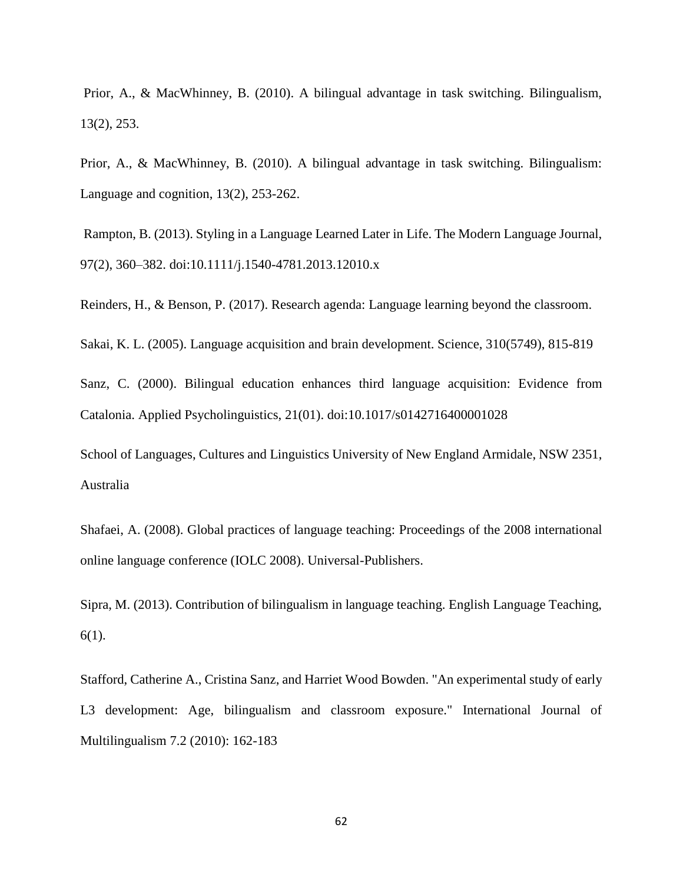Prior, A., & MacWhinney, B. (2010). A bilingual advantage in task switching. Bilingualism, 13(2), 253.

Prior, A., & MacWhinney, B. (2010). A bilingual advantage in task switching. Bilingualism: Language and cognition, 13(2), 253-262.

Rampton, B. (2013). Styling in a Language Learned Later in Life. The Modern Language Journal, 97(2), 360–382. doi:10.1111/j.1540-4781.2013.12010.x

Reinders, H., & Benson, P. (2017). Research agenda: Language learning beyond the classroom.

Sakai, K. L. (2005). Language acquisition and brain development. Science, 310(5749), 815-819

Sanz, C. (2000). Bilingual education enhances third language acquisition: Evidence from Catalonia. Applied Psycholinguistics, 21(01). doi:10.1017/s0142716400001028

School of Languages, Cultures and Linguistics University of New England Armidale, NSW 2351, Australia

Shafaei, A. (2008). Global practices of language teaching: Proceedings of the 2008 international online language conference (IOLC 2008). Universal-Publishers.

Sipra, M. (2013). Contribution of bilingualism in language teaching. English Language Teaching, 6(1).

Stafford, Catherine A., Cristina Sanz, and Harriet Wood Bowden. "An experimental study of early L3 development: Age, bilingualism and classroom exposure." International Journal of Multilingualism 7.2 (2010): 162-183